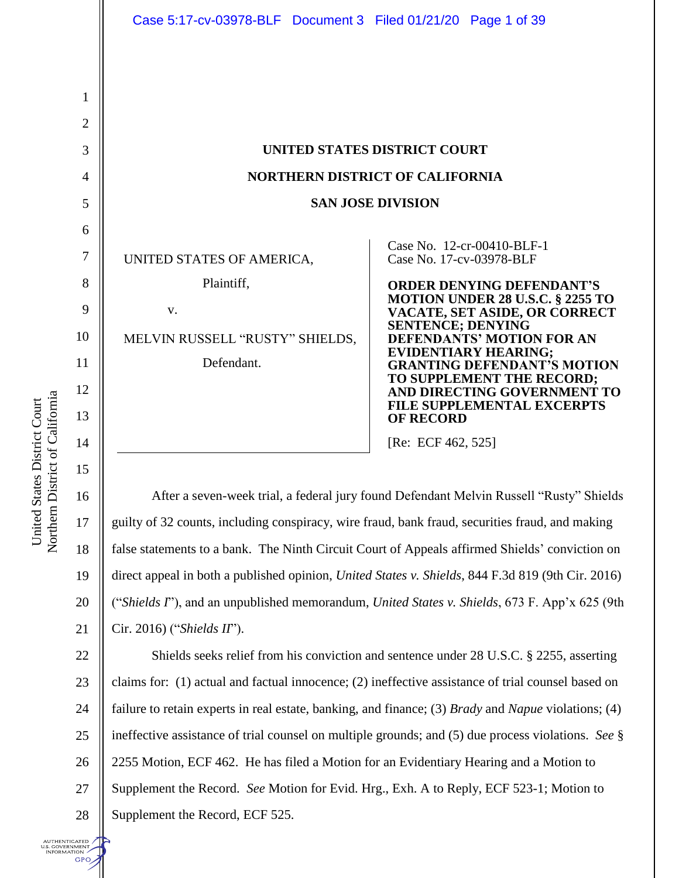|  | $\overline{\mathbf{c}}$  |
|--|--------------------------|
|  | $\overline{\mathbf{3}}$  |
|  | $\overline{\mathcal{A}}$ |
|  |                          |
|  | 5 6 7 8                  |
|  |                          |
|  |                          |
|  | 9                        |
|  | 10 <sup>1</sup>          |
|  | 11                       |
|  | 12                       |
|  | 13                       |
|  | 14                       |
|  | 15                       |
|  | $\frac{16}{5}$           |
|  | $\frac{17}{1}$           |
|  | 18                       |

1

| UNITED STATES DISTRICT COURT<br><b>NORTHERN DISTRICT OF CALIFORNIA</b><br><b>SAN JOSE DIVISION</b> |                                                                                                                                                                                                                                                                                                                                                                                                                                                               |
|----------------------------------------------------------------------------------------------------|---------------------------------------------------------------------------------------------------------------------------------------------------------------------------------------------------------------------------------------------------------------------------------------------------------------------------------------------------------------------------------------------------------------------------------------------------------------|
| UNITED STATES OF AMERICA,<br>Plaintiff,<br>V.<br>MELVIN RUSSELL "RUSTY" SHIELDS,<br>Defendant.     | Case No. 12-cr-00410-BLF-1<br>Case No. 17-cv-03978-BLF<br><b>ORDER DENYING DEFENDANT'S</b><br><b>MOTION UNDER 28 U.S.C. § 2255 TO</b><br><b>VACATE, SET ASIDE, OR CORRECT</b><br><b>SENTENCE; DENYING</b><br><b>DEFENDANTS' MOTION FOR AN</b><br><b>EVIDENTIARY HEARING;</b><br><b>GRANTING DEFENDANT'S MOTION</b><br>TO SUPPLEMENT THE RECORD;<br>AND DIRECTING GOVERNMENT TO<br><b>FILE SUPPLEMENTAL EXCERPTS</b><br><b>OF RECORD</b><br>[Re: ECF 462, 525] |

16 17 18 19 20 21 After a seven-week trial, a federal jury found Defendant Melvin Russell "Rusty" Shields guilty of 32 counts, including conspiracy, wire fraud, bank fraud, securities fraud, and making false statements to a bank. The Ninth Circuit Court of Appeals affirmed Shields' conviction on direct appeal in both a published opinion, *United States v. Shields*, 844 F.3d 819 (9th Cir. 2016) ("*Shields I*"), and an unpublished memorandum, *United States v. Shields*, 673 F. App'x 625 (9th Cir. 2016) ("*Shields II*").

22 23 24 25 26 27 28 Shields seeks relief from his conviction and sentence under 28 U.S.C. § 2255, asserting claims for: (1) actual and factual innocence; (2) ineffective assistance of trial counsel based on failure to retain experts in real estate, banking, and finance; (3) *Brady* and *Napue* violations; (4) ineffective assistance of trial counsel on multiple grounds; and (5) due process violations. *See* § 2255 Motion, ECF 462. He has filed a Motion for an Evidentiary Hearing and a Motion to Supplement the Record. *See* Motion for Evid. Hrg., Exh. A to Reply, ECF 523-1; Motion to Supplement the Record, ECF 525.

NUTHENTICATED J.S. GOVERNMENT<br>- INFORMATION **GPO** 

United States District Court

United States District Court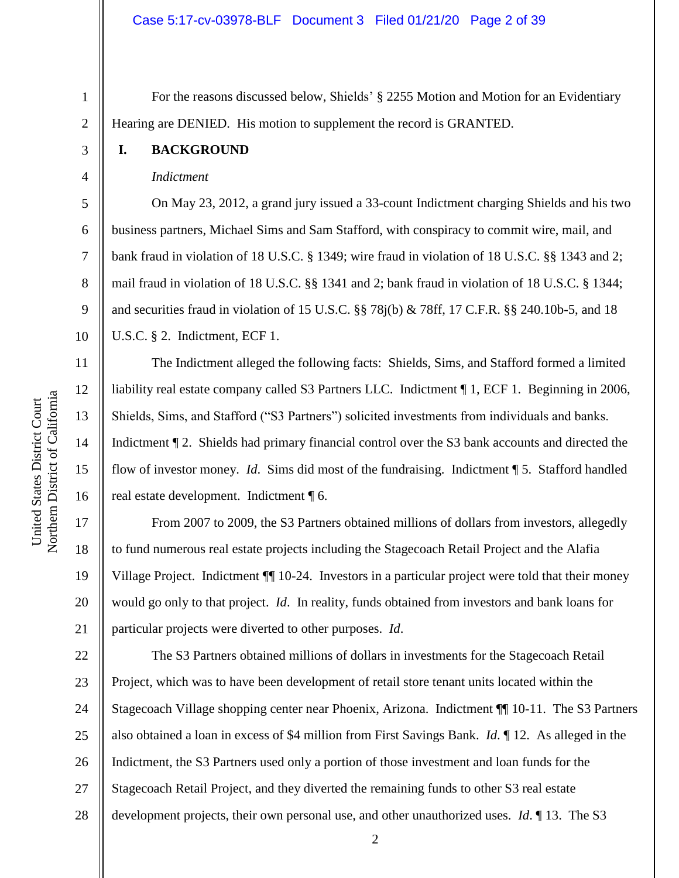For the reasons discussed below, Shields' § 2255 Motion and Motion for an Evidentiary Hearing are DENIED. His motion to supplement the record is GRANTED.

### **I. BACKGROUND**

1

2

3

4

5

6

7

8

9

10

11

12

13

14

15

16

17

18

19

20

21

# *Indictment*

On May 23, 2012, a grand jury issued a 33-count Indictment charging Shields and his two business partners, Michael Sims and Sam Stafford, with conspiracy to commit wire, mail, and bank fraud in violation of 18 U.S.C. § 1349; wire fraud in violation of 18 U.S.C. §§ 1343 and 2; mail fraud in violation of 18 U.S.C. §§ 1341 and 2; bank fraud in violation of 18 U.S.C. § 1344; and securities fraud in violation of 15 U.S.C. §§ 78j(b) & 78ff, 17 C.F.R. §§ 240.10b-5, and 18 U.S.C. § 2. Indictment, ECF 1.

The Indictment alleged the following facts: Shields, Sims, and Stafford formed a limited liability real estate company called S3 Partners LLC. Indictment ¶ 1, ECF 1. Beginning in 2006, Shields, Sims, and Stafford ("S3 Partners") solicited investments from individuals and banks. Indictment ¶ 2. Shields had primary financial control over the S3 bank accounts and directed the flow of investor money. *Id*. Sims did most of the fundraising. Indictment ¶ 5. Stafford handled real estate development. Indictment ¶ 6.

From 2007 to 2009, the S3 Partners obtained millions of dollars from investors, allegedly to fund numerous real estate projects including the Stagecoach Retail Project and the Alafia Village Project. Indictment ¶¶ 10-24. Investors in a particular project were told that their money would go only to that project. *Id*. In reality, funds obtained from investors and bank loans for particular projects were diverted to other purposes. *Id*.

22 23 24 25 26 27 28 The S3 Partners obtained millions of dollars in investments for the Stagecoach Retail Project, which was to have been development of retail store tenant units located within the Stagecoach Village shopping center near Phoenix, Arizona. Indictment ¶¶ 10-11. The S3 Partners also obtained a loan in excess of \$4 million from First Savings Bank. *Id*. ¶ 12. As alleged in the Indictment, the S3 Partners used only a portion of those investment and loan funds for the Stagecoach Retail Project, and they diverted the remaining funds to other S3 real estate development projects, their own personal use, and other unauthorized uses. *Id*. ¶ 13. The S3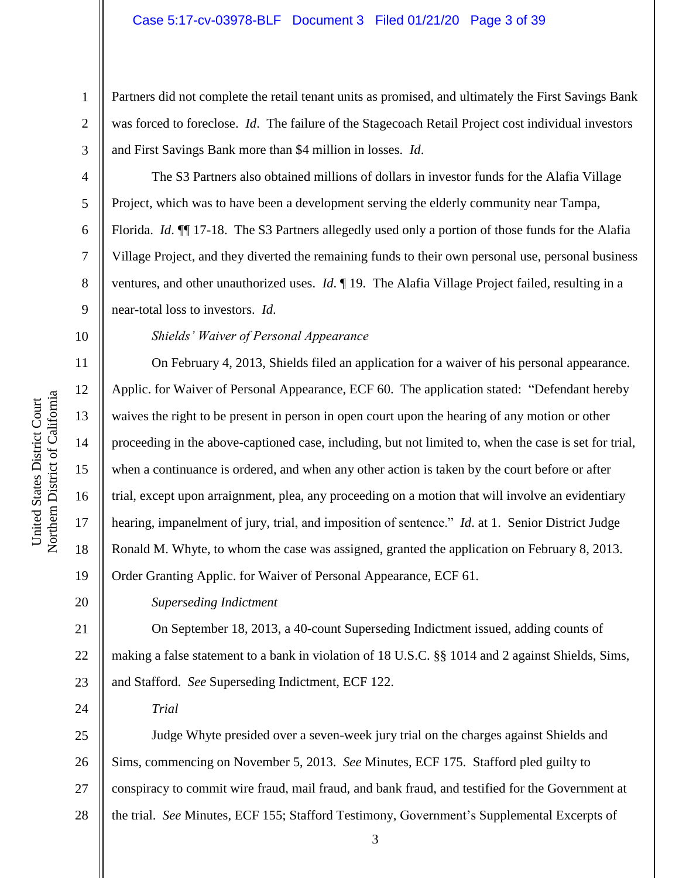Partners did not complete the retail tenant units as promised, and ultimately the First Savings Bank was forced to foreclose. *Id*. The failure of the Stagecoach Retail Project cost individual investors and First Savings Bank more than \$4 million in losses. *Id*.

The S3 Partners also obtained millions of dollars in investor funds for the Alafia Village Project, which was to have been a development serving the elderly community near Tampa, Florida. *Id*. ¶¶ 17-18. The S3 Partners allegedly used only a portion of those funds for the Alafia Village Project, and they diverted the remaining funds to their own personal use, personal business ventures, and other unauthorized uses. *Id*. ¶ 19. The Alafia Village Project failed, resulting in a near-total loss to investors. *Id*.

10

11

12

13

14

15

17

18

19

20

24

1

2

3

4

5

6

7

8

9

# *Shields' Waiver of Personal Appearance*

16 On February 4, 2013, Shields filed an application for a waiver of his personal appearance. Applic. for Waiver of Personal Appearance, ECF 60. The application stated: "Defendant hereby waives the right to be present in person in open court upon the hearing of any motion or other proceeding in the above-captioned case, including, but not limited to, when the case is set for trial, when a continuance is ordered, and when any other action is taken by the court before or after trial, except upon arraignment, plea, any proceeding on a motion that will involve an evidentiary hearing, impanelment of jury, trial, and imposition of sentence." *Id*. at 1. Senior District Judge Ronald M. Whyte, to whom the case was assigned, granted the application on February 8, 2013. Order Granting Applic. for Waiver of Personal Appearance, ECF 61.

# *Superseding Indictment*

21 22 23 On September 18, 2013, a 40-count Superseding Indictment issued, adding counts of making a false statement to a bank in violation of 18 U.S.C. §§ 1014 and 2 against Shields, Sims, and Stafford. *See* Superseding Indictment, ECF 122.

*Trial*

25 26 27 28 Judge Whyte presided over a seven-week jury trial on the charges against Shields and Sims, commencing on November 5, 2013. *See* Minutes, ECF 175. Stafford pled guilty to conspiracy to commit wire fraud, mail fraud, and bank fraud, and testified for the Government at the trial. *See* Minutes, ECF 155; Stafford Testimony, Government's Supplemental Excerpts of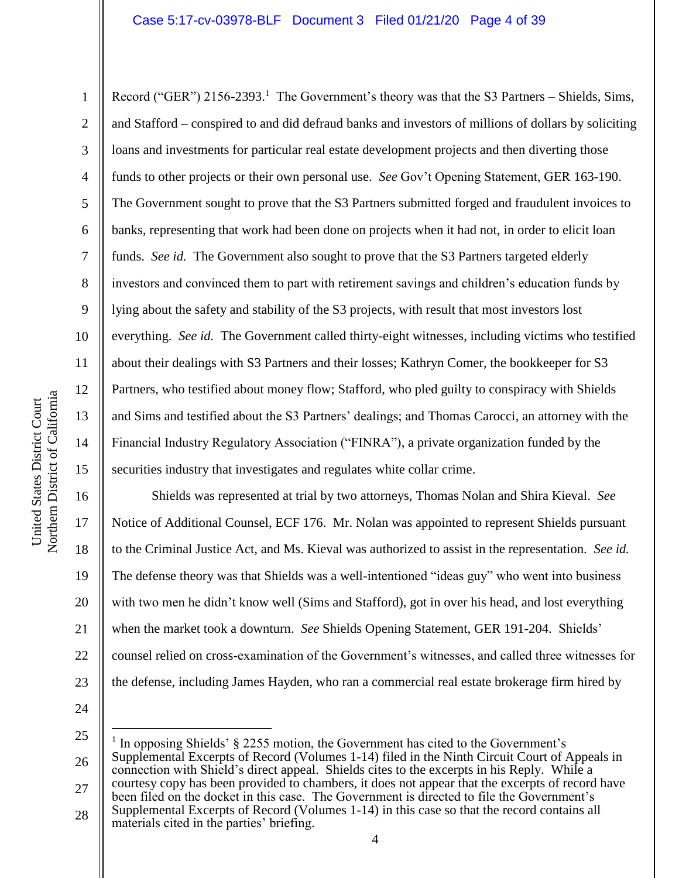# Case 5:17-cv-03978-BLF Document 3 Filed 01/21/20 Page 4 of 39

Record ("GER") 2156-2393.<sup>1</sup> The Government's theory was that the S3 Partners – Shields, Sims, and Stafford – conspired to and did defraud banks and investors of millions of dollars by soliciting loans and investments for particular real estate development projects and then diverting those funds to other projects or their own personal use. *See* Gov't Opening Statement, GER 163-190. The Government sought to prove that the S3 Partners submitted forged and fraudulent invoices to banks, representing that work had been done on projects when it had not, in order to elicit loan funds. *See id.* The Government also sought to prove that the S3 Partners targeted elderly investors and convinced them to part with retirement savings and children's education funds by lying about the safety and stability of the S3 projects, with result that most investors lost everything. *See id.* The Government called thirty-eight witnesses, including victims who testified about their dealings with S3 Partners and their losses; Kathryn Comer, the bookkeeper for S3 Partners, who testified about money flow; Stafford, who pled guilty to conspiracy with Shields and Sims and testified about the S3 Partners' dealings; and Thomas Carocci, an attorney with the Financial Industry Regulatory Association ("FINRA"), a private organization funded by the securities industry that investigates and regulates white collar crime.

16 20 22 23 Shields was represented at trial by two attorneys, Thomas Nolan and Shira Kieval. *See* Notice of Additional Counsel, ECF 176. Mr. Nolan was appointed to represent Shields pursuant to the Criminal Justice Act, and Ms. Kieval was authorized to assist in the representation. *See id.* The defense theory was that Shields was a well-intentioned "ideas guy" who went into business with two men he didn't know well (Sims and Stafford), got in over his head, and lost everything when the market took a downturn. *See* Shields Opening Statement, GER 191-204. Shields' counsel relied on cross-examination of the Government's witnesses, and called three witnesses for the defense, including James Hayden, who ran a commercial real estate brokerage firm hired by

24

 $\overline{a}$ 

25 26 27 1 In opposing Shields' § 2255 motion, the Government has cited to the Government's Supplemental Excerpts of Record (Volumes 1-14) filed in the Ninth Circuit Court of Appeals in connection with Shield's direct appeal. Shields cites to the excerpts in his Reply. While a courtesy copy has been provided to chambers, it does not appear that the excerpts of record have been filed on the docket in this case. The Government is directed to file the Government's

28 Supplemental Excerpts of Record (Volumes 1-14) in this case so that the record contains all materials cited in the parties' briefing.

1

2

3

4

5

6

7

8

9

10

11

12

13

14

15

17

18

19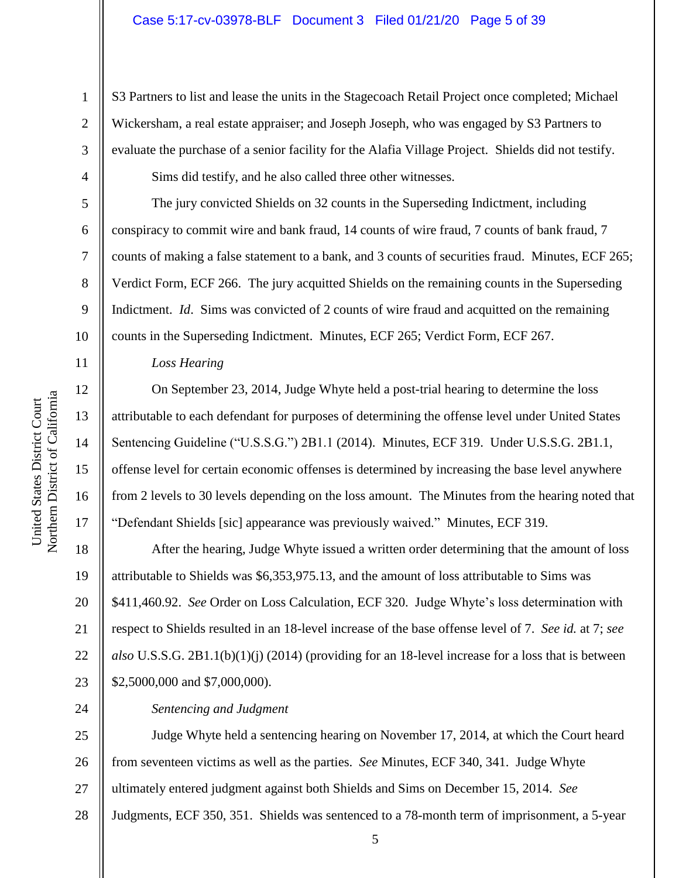### Case 5:17-cv-03978-BLF Document 3 Filed 01/21/20 Page 5 of 39

S3 Partners to list and lease the units in the Stagecoach Retail Project once completed; Michael Wickersham, a real estate appraiser; and Joseph Joseph, who was engaged by S3 Partners to evaluate the purchase of a senior facility for the Alafia Village Project. Shields did not testify.

Sims did testify, and he also called three other witnesses.

The jury convicted Shields on 32 counts in the Superseding Indictment, including conspiracy to commit wire and bank fraud, 14 counts of wire fraud, 7 counts of bank fraud, 7 counts of making a false statement to a bank, and 3 counts of securities fraud. Minutes, ECF 265; Verdict Form, ECF 266. The jury acquitted Shields on the remaining counts in the Superseding Indictment. *Id*. Sims was convicted of 2 counts of wire fraud and acquitted on the remaining counts in the Superseding Indictment. Minutes, ECF 265; Verdict Form, ECF 267.

*Loss Hearing*

On September 23, 2014, Judge Whyte held a post-trial hearing to determine the loss attributable to each defendant for purposes of determining the offense level under United States Sentencing Guideline ("U.S.S.G.") 2B1.1 (2014). Minutes, ECF 319. Under U.S.S.G. 2B1.1, offense level for certain economic offenses is determined by increasing the base level anywhere from 2 levels to 30 levels depending on the loss amount. The Minutes from the hearing noted that "Defendant Shields [sic] appearance was previously waived." Minutes, ECF 319.

18 19 20 21 22 23 After the hearing, Judge Whyte issued a written order determining that the amount of loss attributable to Shields was \$6,353,975.13, and the amount of loss attributable to Sims was \$411,460.92. *See* Order on Loss Calculation, ECF 320. Judge Whyte's loss determination with respect to Shields resulted in an 18-level increase of the base offense level of 7. *See id.* at 7; *see also* U.S.S.G. 2B1.1(b)(1)(j) (2014) (providing for an 18-level increase for a loss that is between \$2,5000,000 and \$7,000,000).

*Sentencing and Judgment*

25 26 27 28 Judge Whyte held a sentencing hearing on November 17, 2014, at which the Court heard from seventeen victims as well as the parties. *See* Minutes, ECF 340, 341. Judge Whyte ultimately entered judgment against both Shields and Sims on December 15, 2014. *See* Judgments, ECF 350, 351. Shields was sentenced to a 78-month term of imprisonment, a 5-year

1

2

3

4

5

6

7

8

9

10

11

12

13

14

15

16

17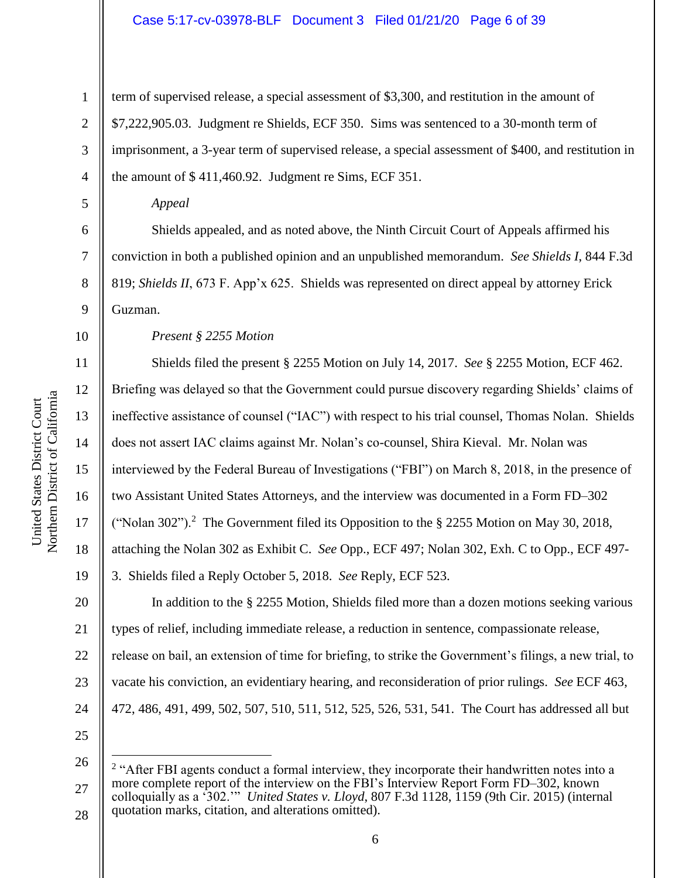# Case 5:17-cv-03978-BLF Document 3 Filed 01/21/20 Page 6 of 39

term of supervised release, a special assessment of \$3,300, and restitution in the amount of \$7,222,905.03. Judgment re Shields, ECF 350. Sims was sentenced to a 30-month term of imprisonment, a 3-year term of supervised release, a special assessment of \$400, and restitution in the amount of \$ 411,460.92. Judgment re Sims, ECF 351.

*Appeal*

Shields appealed, and as noted above, the Ninth Circuit Court of Appeals affirmed his conviction in both a published opinion and an unpublished memorandum. *See Shields I*, 844 F.3d 819; *Shields II*, 673 F. App'x 625. Shields was represented on direct appeal by attorney Erick Guzman.

10

1

2

3

4

5

6

7

8

9

*Present § 2255 Motion*

11 12 13 14 15 16 17 18 19 20 21 22 23 Shields filed the present § 2255 Motion on July 14, 2017. *See* § 2255 Motion, ECF 462. Briefing was delayed so that the Government could pursue discovery regarding Shields' claims of ineffective assistance of counsel ("IAC") with respect to his trial counsel, Thomas Nolan. Shields does not assert IAC claims against Mr. Nolan's co-counsel, Shira Kieval. Mr. Nolan was interviewed by the Federal Bureau of Investigations ("FBI") on March 8, 2018, in the presence of two Assistant United States Attorneys, and the interview was documented in a Form FD–302 ("Nolan 302").<sup>2</sup> The Government filed its Opposition to the  $\S$  2255 Motion on May 30, 2018, attaching the Nolan 302 as Exhibit C. *See* Opp., ECF 497; Nolan 302, Exh. C to Opp., ECF 497- 3. Shields filed a Reply October 5, 2018. *See* Reply, ECF 523. In addition to the § 2255 Motion, Shields filed more than a dozen motions seeking various types of relief, including immediate release, a reduction in sentence, compassionate release, release on bail, an extension of time for briefing, to strike the Government's filings, a new trial, to vacate his conviction, an evidentiary hearing, and reconsideration of prior rulings. *See* ECF 463,

- 24 472, 486, 491, 499, 502, 507, 510, 511, 512, 525, 526, 531, 541. The Court has addressed all but
- 25 26

 $\overline{a}$ 

Northern District of California Northern District of California United States District Court United States District Court

<sup>27</sup> 28 <sup>2</sup> "After FBI agents conduct a formal interview, they incorporate their handwritten notes into a more complete report of the interview on the FBI's Interview Report Form FD–302, known colloquially as a '302.'" *United States v. Lloyd*, 807 F.3d 1128, 1159 (9th Cir. 2015) (internal quotation marks, citation, and alterations omitted).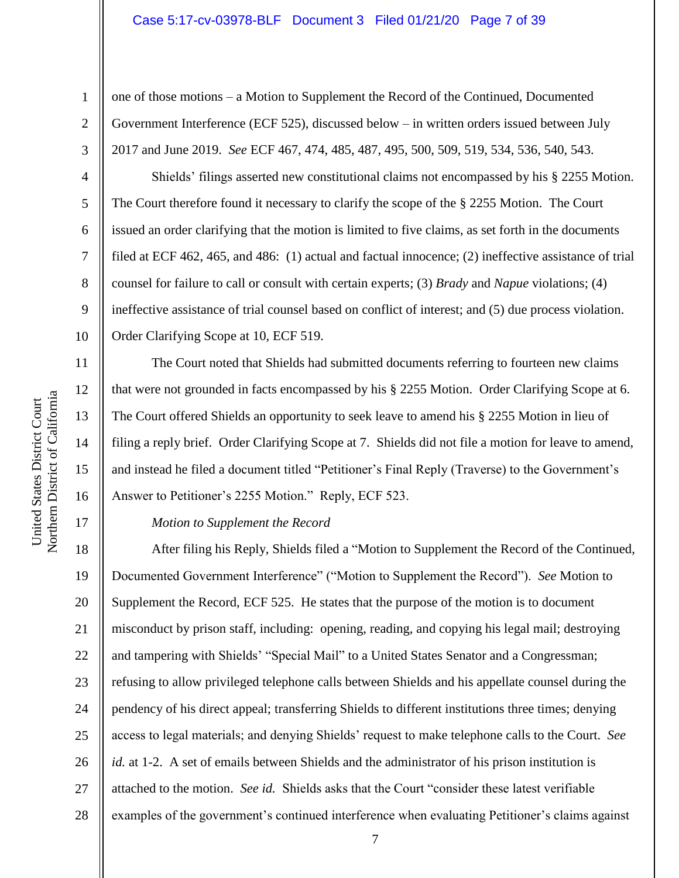#### Case 5:17-cv-03978-BLF Document 3 Filed 01/21/20 Page 7 of 39

one of those motions – a Motion to Supplement the Record of the Continued, Documented Government Interference (ECF 525), discussed below – in written orders issued between July 2017 and June 2019. *See* ECF 467, 474, 485, 487, 495, 500, 509, 519, 534, 536, 540, 543.

Shields' filings asserted new constitutional claims not encompassed by his § 2255 Motion. The Court therefore found it necessary to clarify the scope of the § 2255 Motion. The Court issued an order clarifying that the motion is limited to five claims, as set forth in the documents filed at ECF 462, 465, and 486: (1) actual and factual innocence; (2) ineffective assistance of trial counsel for failure to call or consult with certain experts; (3) *Brady* and *Napue* violations; (4) ineffective assistance of trial counsel based on conflict of interest; and (5) due process violation. Order Clarifying Scope at 10, ECF 519.

The Court noted that Shields had submitted documents referring to fourteen new claims that were not grounded in facts encompassed by his § 2255 Motion. Order Clarifying Scope at 6. The Court offered Shields an opportunity to seek leave to amend his § 2255 Motion in lieu of filing a reply brief. Order Clarifying Scope at 7. Shields did not file a motion for leave to amend, and instead he filed a document titled "Petitioner's Final Reply (Traverse) to the Government's Answer to Petitioner's 2255 Motion." Reply, ECF 523.

#### *Motion to Supplement the Record*

18 19 20 21 22 23 24 25 26 27 28 After filing his Reply, Shields filed a "Motion to Supplement the Record of the Continued, Documented Government Interference" ("Motion to Supplement the Record"). *See* Motion to Supplement the Record, ECF 525. He states that the purpose of the motion is to document misconduct by prison staff, including: opening, reading, and copying his legal mail; destroying and tampering with Shields' "Special Mail" to a United States Senator and a Congressman; refusing to allow privileged telephone calls between Shields and his appellate counsel during the pendency of his direct appeal; transferring Shields to different institutions three times; denying access to legal materials; and denying Shields' request to make telephone calls to the Court. *See id.* at 1-2. A set of emails between Shields and the administrator of his prison institution is attached to the motion. *See id.* Shields asks that the Court "consider these latest verifiable examples of the government's continued interference when evaluating Petitioner's claims against

1

2

3

4

5

6

7

8

9

10

11

12

13

14

15

16

17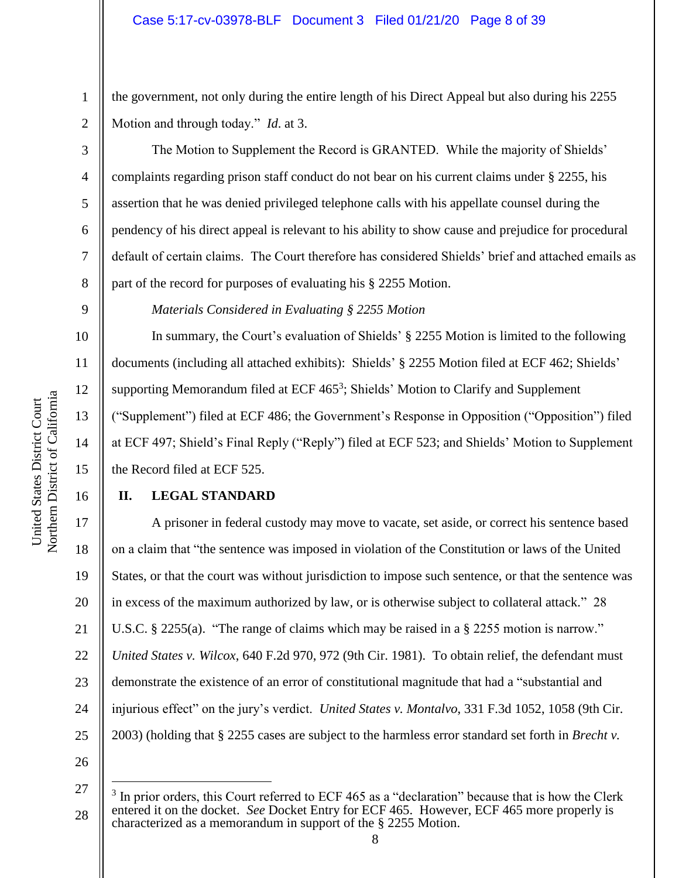the government, not only during the entire length of his Direct Appeal but also during his 2255 Motion and through today." *Id*. at 3.

The Motion to Supplement the Record is GRANTED. While the majority of Shields' complaints regarding prison staff conduct do not bear on his current claims under § 2255, his assertion that he was denied privileged telephone calls with his appellate counsel during the pendency of his direct appeal is relevant to his ability to show cause and prejudice for procedural default of certain claims. The Court therefore has considered Shields' brief and attached emails as part of the record for purposes of evaluating his § 2255 Motion.

*Materials Considered in Evaluating § 2255 Motion*

In summary, the Court's evaluation of Shields' § 2255 Motion is limited to the following documents (including all attached exhibits): Shields' § 2255 Motion filed at ECF 462; Shields' supporting Memorandum filed at ECF 465<sup>3</sup>; Shields' Motion to Clarify and Supplement ("Supplement") filed at ECF 486; the Government's Response in Opposition ("Opposition") filed at ECF 497; Shield's Final Reply ("Reply") filed at ECF 523; and Shields' Motion to Supplement the Record filed at ECF 525.

# **II. LEGAL STANDARD**

17 18 19 20 21 22 23 24 25 A prisoner in federal custody may move to vacate, set aside, or correct his sentence based on a claim that "the sentence was imposed in violation of the Constitution or laws of the United States, or that the court was without jurisdiction to impose such sentence, or that the sentence was in excess of the maximum authorized by law, or is otherwise subject to collateral attack." 28 U.S.C. § 2255(a). "The range of claims which may be raised in a § 2255 motion is narrow." *United States v. Wilcox*, 640 F.2d 970, 972 (9th Cir. 1981). To obtain relief, the defendant must demonstrate the existence of an error of constitutional magnitude that had a "substantial and injurious effect" on the jury's verdict. *United States v. Montalvo*, 331 F.3d 1052, 1058 (9th Cir. 2003) (holding that § 2255 cases are subject to the harmless error standard set forth in *Brecht v.* 

26

 $\overline{a}$ 

1

2

3

4

5

6

7

8

9

10

11

12

13

14

15

<sup>27</sup> 28 3 In prior orders, this Court referred to ECF 465 as a "declaration" because that is how the Clerk entered it on the docket. *See* Docket Entry for ECF 465. However, ECF 465 more properly is characterized as a memorandum in support of the § 2255 Motion.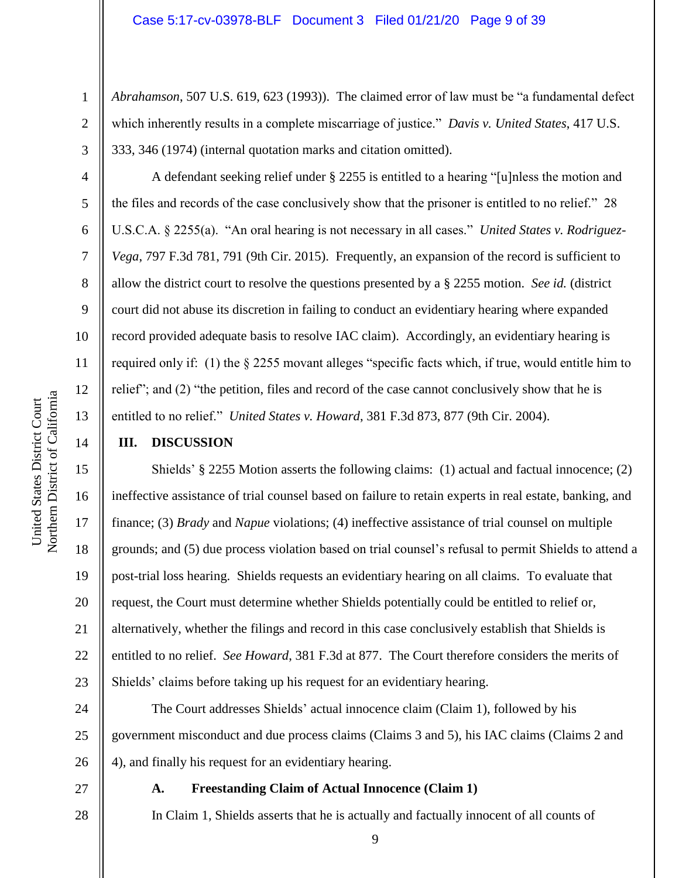*Abrahamson*, 507 U.S. 619, 623 (1993)). The claimed error of law must be "a fundamental defect which inherently results in a complete miscarriage of justice." *Davis v. United States*, 417 U.S. 333, 346 (1974) (internal quotation marks and citation omitted).

A defendant seeking relief under § 2255 is entitled to a hearing "[u]nless the motion and the files and records of the case conclusively show that the prisoner is entitled to no relief." 28 U.S.C.A. § 2255(a). "An oral hearing is not necessary in all cases." *United States v. Rodriguez-Vega*, 797 F.3d 781, 791 (9th Cir. 2015). Frequently, an expansion of the record is sufficient to allow the district court to resolve the questions presented by a § 2255 motion. *See id.* (district court did not abuse its discretion in failing to conduct an evidentiary hearing where expanded record provided adequate basis to resolve IAC claim). Accordingly, an evidentiary hearing is required only if: (1) the § 2255 movant alleges "specific facts which, if true, would entitle him to relief"; and (2) "the petition, files and record of the case cannot conclusively show that he is entitled to no relief." *United States v. Howard*, 381 F.3d 873, 877 (9th Cir. 2004).

# **III. DISCUSSION**

Shields' § 2255 Motion asserts the following claims: (1) actual and factual innocence; (2) ineffective assistance of trial counsel based on failure to retain experts in real estate, banking, and finance; (3) *Brady* and *Napue* violations; (4) ineffective assistance of trial counsel on multiple grounds; and (5) due process violation based on trial counsel's refusal to permit Shields to attend a post-trial loss hearing. Shields requests an evidentiary hearing on all claims. To evaluate that request, the Court must determine whether Shields potentially could be entitled to relief or, alternatively, whether the filings and record in this case conclusively establish that Shields is entitled to no relief. *See Howard*, 381 F.3d at 877. The Court therefore considers the merits of Shields' claims before taking up his request for an evidentiary hearing.

24 26 The Court addresses Shields' actual innocence claim (Claim 1), followed by his government misconduct and due process claims (Claims 3 and 5), his IAC claims (Claims 2 and 4), and finally his request for an evidentiary hearing.

27

# **A. Freestanding Claim of Actual Innocence (Claim 1)**

28

1

2

3

4

5

6

7

8

9

10

11

12

13

14

15

16

17

18

19

20

21

22

23

25

In Claim 1, Shields asserts that he is actually and factually innocent of all counts of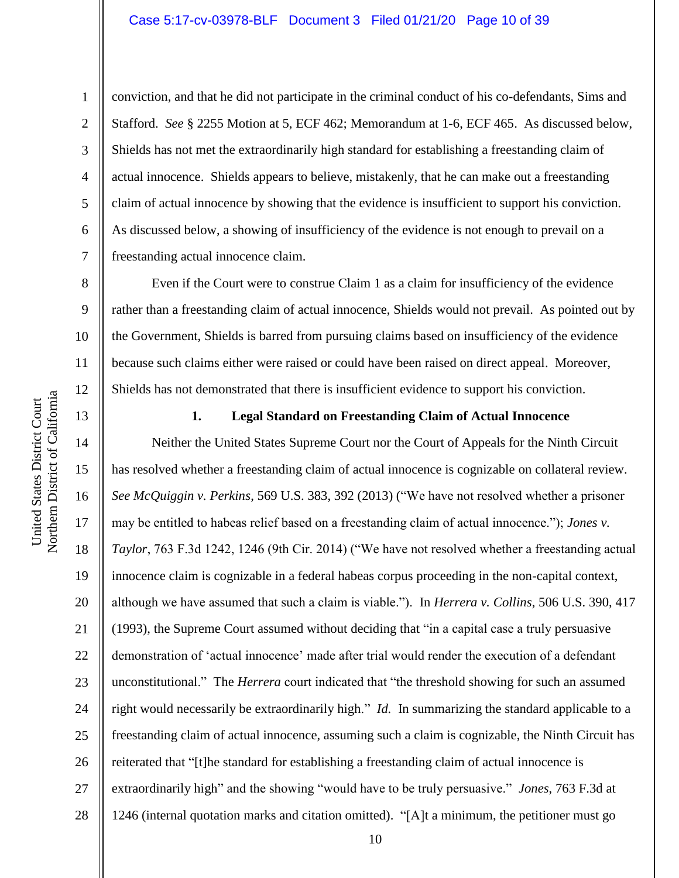conviction, and that he did not participate in the criminal conduct of his co-defendants, Sims and Stafford. *See* § 2255 Motion at 5, ECF 462; Memorandum at 1-6, ECF 465. As discussed below, Shields has not met the extraordinarily high standard for establishing a freestanding claim of actual innocence. Shields appears to believe, mistakenly, that he can make out a freestanding claim of actual innocence by showing that the evidence is insufficient to support his conviction. As discussed below, a showing of insufficiency of the evidence is not enough to prevail on a freestanding actual innocence claim.

Even if the Court were to construe Claim 1 as a claim for insufficiency of the evidence rather than a freestanding claim of actual innocence, Shields would not prevail. As pointed out by the Government, Shields is barred from pursuing claims based on insufficiency of the evidence because such claims either were raised or could have been raised on direct appeal. Moreover, Shields has not demonstrated that there is insufficient evidence to support his conviction.



1

2

3

4

5

6

7

8

9

10

11

12

13

**1. Legal Standard on Freestanding Claim of Actual Innocence**

14 15 16 17 18 19 20 21 22 23 24 25 26 27 28 Neither the United States Supreme Court nor the Court of Appeals for the Ninth Circuit has resolved whether a freestanding claim of actual innocence is cognizable on collateral review. *See McQuiggin v. Perkins*, 569 U.S. 383, 392 (2013) ("We have not resolved whether a prisoner may be entitled to habeas relief based on a freestanding claim of actual innocence."); *Jones v. Taylor*, 763 F.3d 1242, 1246 (9th Cir. 2014) ("We have not resolved whether a freestanding actual innocence claim is cognizable in a federal habeas corpus proceeding in the non-capital context, although we have assumed that such a claim is viable."). In *Herrera v. Collins*, 506 U.S. 390, 417 (1993), the Supreme Court assumed without deciding that "in a capital case a truly persuasive demonstration of 'actual innocence' made after trial would render the execution of a defendant unconstitutional." The *Herrera* court indicated that "the threshold showing for such an assumed right would necessarily be extraordinarily high." *Id.* In summarizing the standard applicable to a freestanding claim of actual innocence, assuming such a claim is cognizable, the Ninth Circuit has reiterated that "[t]he standard for establishing a freestanding claim of actual innocence is extraordinarily high" and the showing "would have to be truly persuasive." *Jones*, 763 F.3d at 1246 (internal quotation marks and citation omitted). "[A]t a minimum, the petitioner must go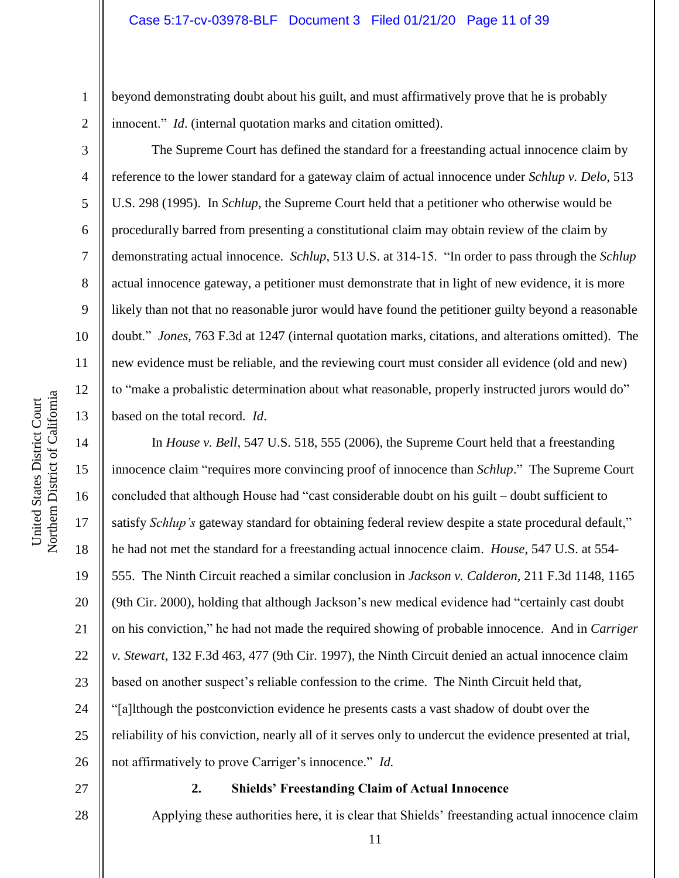beyond demonstrating doubt about his guilt, and must affirmatively prove that he is probably innocent." *Id*. (internal quotation marks and citation omitted).

The Supreme Court has defined the standard for a freestanding actual innocence claim by reference to the lower standard for a gateway claim of actual innocence under *Schlup v. Delo*, 513 U.S. 298 (1995). In *Schlup*, the Supreme Court held that a petitioner who otherwise would be procedurally barred from presenting a constitutional claim may obtain review of the claim by demonstrating actual innocence. *Schlup*, 513 U.S. at 314-15. "In order to pass through the *Schlup* actual innocence gateway, a petitioner must demonstrate that in light of new evidence, it is more likely than not that no reasonable juror would have found the petitioner guilty beyond a reasonable doubt." *Jones*, 763 F.3d at 1247 (internal quotation marks, citations, and alterations omitted). The new evidence must be reliable, and the reviewing court must consider all evidence (old and new) to "make a probalistic determination about what reasonable, properly instructed jurors would do" based on the total record. *Id*.

14 15 16 17 18 19 20 21 22 23 24 25 26 In *House v. Bell*, 547 U.S. 518, 555 (2006), the Supreme Court held that a freestanding innocence claim "requires more convincing proof of innocence than *Schlup*." The Supreme Court concluded that although House had "cast considerable doubt on his guilt – doubt sufficient to satisfy *Schlup's* gateway standard for obtaining federal review despite a state procedural default," he had not met the standard for a freestanding actual innocence claim. *House*, 547 U.S. at 554- 555. The Ninth Circuit reached a similar conclusion in *Jackson v. Calderon,* 211 F.3d 1148, 1165 (9th Cir. 2000), holding that although Jackson's new medical evidence had "certainly cast doubt on his conviction," he had not made the required showing of probable innocence. And in *Carriger v. Stewart*, 132 F.3d 463, 477 (9th Cir. 1997), the Ninth Circuit denied an actual innocence claim based on another suspect's reliable confession to the crime. The Ninth Circuit held that, "[a]lthough the postconviction evidence he presents casts a vast shadow of doubt over the reliability of his conviction, nearly all of it serves only to undercut the evidence presented at trial, not affirmatively to prove Carriger's innocence." *Id.*

27

28

# **2. Shields' Freestanding Claim of Actual Innocence**

Applying these authorities here, it is clear that Shields' freestanding actual innocence claim

1

2

3

4

5

6

7

8

9

10

11

12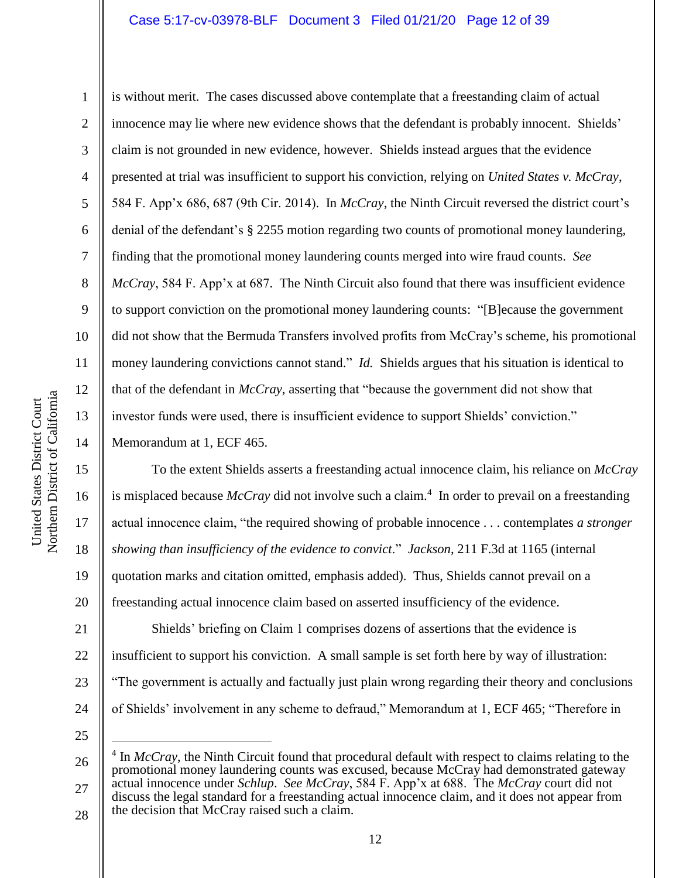# Case 5:17-cv-03978-BLF Document 3 Filed 01/21/20 Page 12 of 39

2 3 4 5 6 7 8 9 10 11 12 13 14 is without merit. The cases discussed above contemplate that a freestanding claim of actual innocence may lie where new evidence shows that the defendant is probably innocent. Shields' claim is not grounded in new evidence, however. Shields instead argues that the evidence presented at trial was insufficient to support his conviction, relying on *United States v. McCray*, 584 F. App'x 686, 687 (9th Cir. 2014). In *McCray*, the Ninth Circuit reversed the district court's denial of the defendant's § 2255 motion regarding two counts of promotional money laundering, finding that the promotional money laundering counts merged into wire fraud counts. *See McCray*, 584 F. App'x at 687. The Ninth Circuit also found that there was insufficient evidence to support conviction on the promotional money laundering counts: "[B]ecause the government did not show that the Bermuda Transfers involved profits from McCray's scheme, his promotional money laundering convictions cannot stand." *Id.* Shields argues that his situation is identical to that of the defendant in *McCray*, asserting that "because the government did not show that investor funds were used, there is insufficient evidence to support Shields' conviction." Memorandum at 1, ECF 465.

To the extent Shields asserts a freestanding actual innocence claim, his reliance on *McCray* is misplaced because *McCray* did not involve such a claim. 4 In order to prevail on a freestanding actual innocence claim, "the required showing of probable innocence . . . contemplates *a stronger showing than insufficiency of the evidence to convict*." *Jackson*, 211 F.3d at 1165 (internal quotation marks and citation omitted, emphasis added). Thus, Shields cannot prevail on a freestanding actual innocence claim based on asserted insufficiency of the evidence. Shields' briefing on Claim 1 comprises dozens of assertions that the evidence is insufficient to support his conviction. A small sample is set forth here by way of illustration:

23 24 "The government is actually and factually just plain wrong regarding their theory and conclusions of Shields' involvement in any scheme to defraud," Memorandum at 1, ECF 465; "Therefore in

25

 $\overline{a}$ 

Northern District of California Northern District of California United States District Court United States District Court

15

16

17

18

19

20

21

22

<sup>26</sup> 27 28 <sup>4</sup> In *McCray*, the Ninth Circuit found that procedural default with respect to claims relating to the promotional money laundering counts was excused, because McCray had demonstrated gateway actual innocence under *Schlup*. *See McCray*, 584 F. App'x at 688. The *McCray* court did not discuss the legal standard for a freestanding actual innocence claim, and it does not appear from the decision that McCray raised such a claim.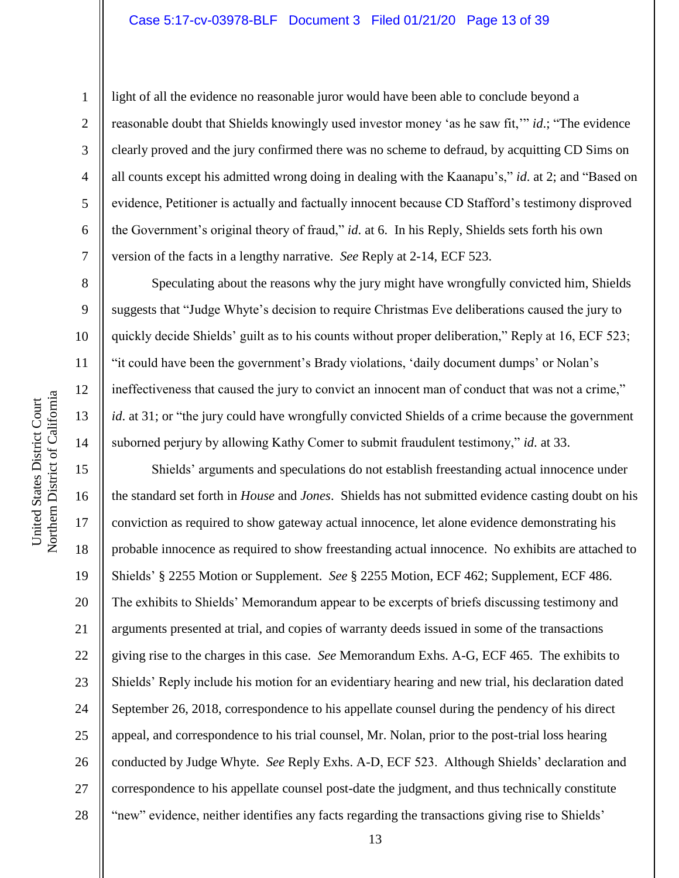# Case 5:17-cv-03978-BLF Document 3 Filed 01/21/20 Page 13 of 39

7

8

9

10

11

12

13

14

15

16

17

18

19

20

21

22

23

24

25

26

27

28

1

light of all the evidence no reasonable juror would have been able to conclude beyond a reasonable doubt that Shields knowingly used investor money 'as he saw fit,'" *id*.; "The evidence clearly proved and the jury confirmed there was no scheme to defraud, by acquitting CD Sims on all counts except his admitted wrong doing in dealing with the Kaanapu's," *id*. at 2; and "Based on evidence, Petitioner is actually and factually innocent because CD Stafford's testimony disproved the Government's original theory of fraud," *id*. at 6. In his Reply, Shields sets forth his own version of the facts in a lengthy narrative. *See* Reply at 2-14, ECF 523.

Speculating about the reasons why the jury might have wrongfully convicted him, Shields suggests that "Judge Whyte's decision to require Christmas Eve deliberations caused the jury to quickly decide Shields' guilt as to his counts without proper deliberation," Reply at 16, ECF 523; "it could have been the government's Brady violations, 'daily document dumps' or Nolan's ineffectiveness that caused the jury to convict an innocent man of conduct that was not a crime," *id*. at 31; or "the jury could have wrongfully convicted Shields of a crime because the government suborned perjury by allowing Kathy Comer to submit fraudulent testimony," *id*. at 33.

Shields' arguments and speculations do not establish freestanding actual innocence under the standard set forth in *House* and *Jones*. Shields has not submitted evidence casting doubt on his conviction as required to show gateway actual innocence, let alone evidence demonstrating his probable innocence as required to show freestanding actual innocence. No exhibits are attached to Shields' § 2255 Motion or Supplement. *See* § 2255 Motion, ECF 462; Supplement, ECF 486. The exhibits to Shields' Memorandum appear to be excerpts of briefs discussing testimony and arguments presented at trial, and copies of warranty deeds issued in some of the transactions giving rise to the charges in this case. *See* Memorandum Exhs. A-G, ECF 465. The exhibits to Shields' Reply include his motion for an evidentiary hearing and new trial, his declaration dated September 26, 2018, correspondence to his appellate counsel during the pendency of his direct appeal, and correspondence to his trial counsel, Mr. Nolan, prior to the post-trial loss hearing conducted by Judge Whyte. *See* Reply Exhs. A-D, ECF 523. Although Shields' declaration and correspondence to his appellate counsel post-date the judgment, and thus technically constitute "new" evidence, neither identifies any facts regarding the transactions giving rise to Shields'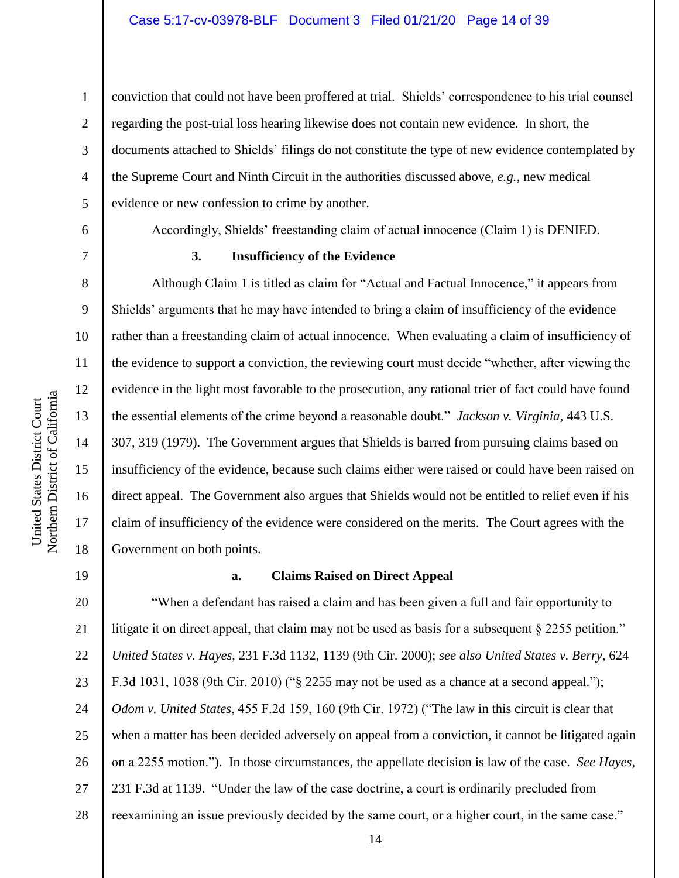conviction that could not have been proffered at trial. Shields' correspondence to his trial counsel regarding the post-trial loss hearing likewise does not contain new evidence. In short, the documents attached to Shields' filings do not constitute the type of new evidence contemplated by the Supreme Court and Ninth Circuit in the authorities discussed above, *e.g.*, new medical evidence or new confession to crime by another.

1

2

3

4

5

6

7

8

9

10

11

12

13

14

15

16

17

18

Accordingly, Shields' freestanding claim of actual innocence (Claim 1) is DENIED.

# **3. Insufficiency of the Evidence**

Although Claim 1 is titled as claim for "Actual and Factual Innocence," it appears from Shields' arguments that he may have intended to bring a claim of insufficiency of the evidence rather than a freestanding claim of actual innocence. When evaluating a claim of insufficiency of the evidence to support a conviction, the reviewing court must decide "whether, after viewing the evidence in the light most favorable to the prosecution, any rational trier of fact could have found the essential elements of the crime beyond a reasonable doubt." *Jackson v. Virginia*, 443 U.S. 307, 319 (1979). The Government argues that Shields is barred from pursuing claims based on insufficiency of the evidence, because such claims either were raised or could have been raised on direct appeal. The Government also argues that Shields would not be entitled to relief even if his claim of insufficiency of the evidence were considered on the merits. The Court agrees with the Government on both points.

19

# **a. Claims Raised on Direct Appeal**

20 21 22 23 24 25 26 27 28 "When a defendant has raised a claim and has been given a full and fair opportunity to litigate it on direct appeal, that claim may not be used as basis for a subsequent § 2255 petition." *United States v. Hayes*, 231 F.3d 1132, 1139 (9th Cir. 2000); *see also United States v. Berry*, 624 F.3d 1031, 1038 (9th Cir. 2010) ("§ 2255 may not be used as a chance at a second appeal."); *Odom v. United States*, 455 F.2d 159, 160 (9th Cir. 1972) ("The law in this circuit is clear that when a matter has been decided adversely on appeal from a conviction, it cannot be litigated again on a 2255 motion."). In those circumstances, the appellate decision is law of the case. *See Hayes*, 231 F.3d at 1139. "Under the law of the case doctrine, a court is ordinarily precluded from reexamining an issue previously decided by the same court, or a higher court, in the same case."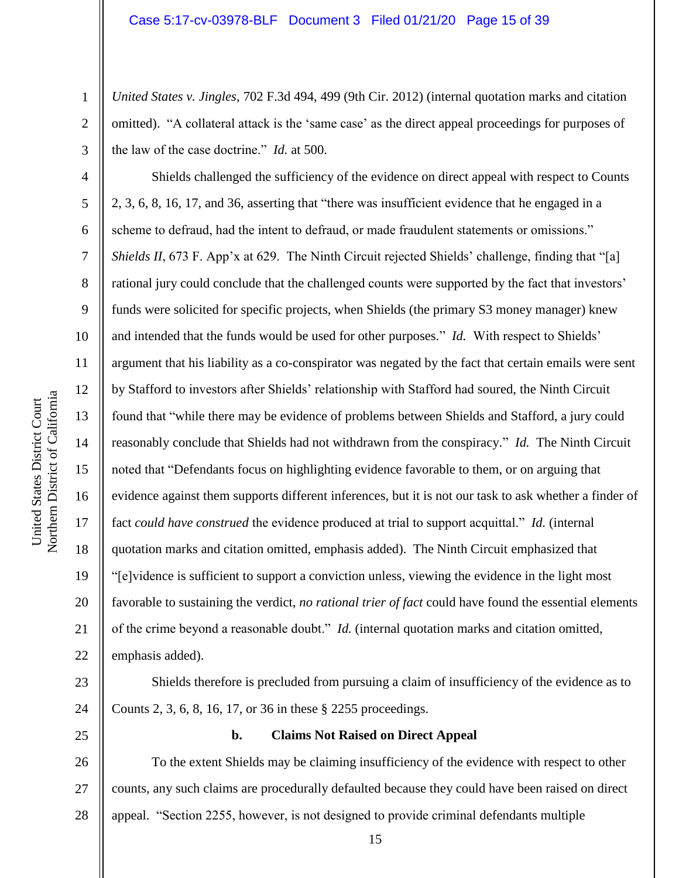*United States v. Jingles*, 702 F.3d 494, 499 (9th Cir. 2012) (internal quotation marks and citation omitted). "A collateral attack is the 'same case' as the direct appeal proceedings for purposes of the law of the case doctrine." *Id.* at 500.

6 7 9 10 16 20 22 Shields challenged the sufficiency of the evidence on direct appeal with respect to Counts 2, 3, 6, 8, 16, 17, and 36, asserting that "there was insufficient evidence that he engaged in a scheme to defraud, had the intent to defraud, or made fraudulent statements or omissions." *Shields II*, 673 F. App'x at 629. The Ninth Circuit rejected Shields' challenge, finding that "[a] rational jury could conclude that the challenged counts were supported by the fact that investors' funds were solicited for specific projects, when Shields (the primary S3 money manager) knew and intended that the funds would be used for other purposes." *Id.* With respect to Shields' argument that his liability as a co-conspirator was negated by the fact that certain emails were sent by Stafford to investors after Shields' relationship with Stafford had soured, the Ninth Circuit found that "while there may be evidence of problems between Shields and Stafford, a jury could reasonably conclude that Shields had not withdrawn from the conspiracy." *Id.* The Ninth Circuit noted that "Defendants focus on highlighting evidence favorable to them, or on arguing that evidence against them supports different inferences, but it is not our task to ask whether a finder of fact *could have construed* the evidence produced at trial to support acquittal." *Id.* (internal quotation marks and citation omitted, emphasis added). The Ninth Circuit emphasized that "[e]vidence is sufficient to support a conviction unless, viewing the evidence in the light most favorable to sustaining the verdict, *no rational trier of fact* could have found the essential elements of the crime beyond a reasonable doubt." *Id.* (internal quotation marks and citation omitted, emphasis added).

23 24

25

# **b. Claims Not Raised on Direct Appeal**

Counts 2, 3, 6, 8, 16, 17, or 36 in these § 2255 proceedings.

26 27 28 To the extent Shields may be claiming insufficiency of the evidence with respect to other counts, any such claims are procedurally defaulted because they could have been raised on direct appeal. "Section 2255, however, is not designed to provide criminal defendants multiple

1

2

3

4

5

8

11

12

13

14

15

17

18

19

21

Shields therefore is precluded from pursuing a claim of insufficiency of the evidence as to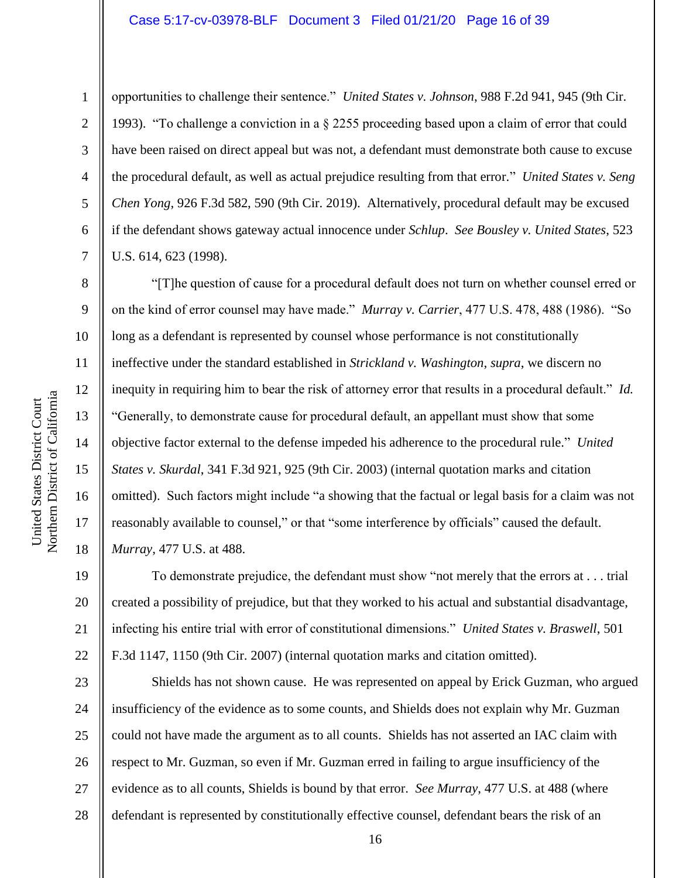#### Case 5:17-cv-03978-BLF Document 3 Filed 01/21/20 Page 16 of 39

1

2

3

4

5

6

7

8

9

10

11

12

13

14

15

16

17

18

opportunities to challenge their sentence." *United States v. Johnson*, 988 F.2d 941, 945 (9th Cir. 1993). "To challenge a conviction in a § 2255 proceeding based upon a claim of error that could have been raised on direct appeal but was not, a defendant must demonstrate both cause to excuse the procedural default, as well as actual prejudice resulting from that error." *United States v. Seng Chen Yong*, 926 F.3d 582, 590 (9th Cir. 2019). Alternatively, procedural default may be excused if the defendant shows gateway actual innocence under *Schlup*. *See Bousley v. United States*, 523 U.S. 614, 623 (1998).

"[T]he question of cause for a procedural default does not turn on whether counsel erred or on the kind of error counsel may have made." *Murray v. Carrier*, 477 U.S. 478, 488 (1986). "So long as a defendant is represented by counsel whose performance is not constitutionally ineffective under the standard established in *Strickland v. Washington*, *supra*, we discern no inequity in requiring him to bear the risk of attorney error that results in a procedural default." *Id.* "Generally, to demonstrate cause for procedural default, an appellant must show that some objective factor external to the defense impeded his adherence to the procedural rule." *United States v. Skurdal*, 341 F.3d 921, 925 (9th Cir. 2003) (internal quotation marks and citation omitted). Such factors might include "a showing that the factual or legal basis for a claim was not reasonably available to counsel," or that "some interference by officials" caused the default. *Murray*, 477 U.S. at 488.

19 20 21 22 To demonstrate prejudice, the defendant must show "not merely that the errors at . . . trial created a possibility of prejudice, but that they worked to his actual and substantial disadvantage, infecting his entire trial with error of constitutional dimensions." *United States v. Braswell*, 501 F.3d 1147, 1150 (9th Cir. 2007) (internal quotation marks and citation omitted).

23 24 25 26 27 28 Shields has not shown cause. He was represented on appeal by Erick Guzman, who argued insufficiency of the evidence as to some counts, and Shields does not explain why Mr. Guzman could not have made the argument as to all counts. Shields has not asserted an IAC claim with respect to Mr. Guzman, so even if Mr. Guzman erred in failing to argue insufficiency of the evidence as to all counts, Shields is bound by that error. *See Murray*, 477 U.S. at 488 (where defendant is represented by constitutionally effective counsel, defendant bears the risk of an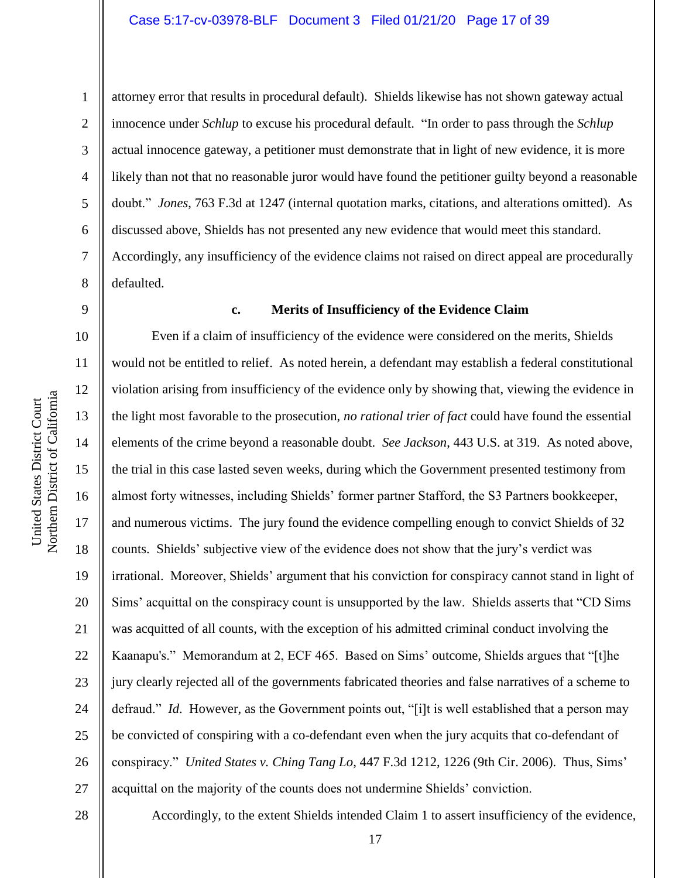# Case 5:17-cv-03978-BLF Document 3 Filed 01/21/20 Page 17 of 39

attorney error that results in procedural default). Shields likewise has not shown gateway actual innocence under *Schlup* to excuse his procedural default. "In order to pass through the *Schlup* actual innocence gateway, a petitioner must demonstrate that in light of new evidence, it is more likely than not that no reasonable juror would have found the petitioner guilty beyond a reasonable doubt." *Jones*, 763 F.3d at 1247 (internal quotation marks, citations, and alterations omitted). As discussed above, Shields has not presented any new evidence that would meet this standard. Accordingly, any insufficiency of the evidence claims not raised on direct appeal are procedurally defaulted.

### 9

10

11

12

13

14

15

17

18

19

21

22

23

24

25

1

2

3

4

5

6

7

8

#### **c. Merits of Insufficiency of the Evidence Claim**

16 20 26 Even if a claim of insufficiency of the evidence were considered on the merits, Shields would not be entitled to relief. As noted herein, a defendant may establish a federal constitutional violation arising from insufficiency of the evidence only by showing that, viewing the evidence in the light most favorable to the prosecution, *no rational trier of fact* could have found the essential elements of the crime beyond a reasonable doubt. *See Jackson*, 443 U.S. at 319. As noted above, the trial in this case lasted seven weeks, during which the Government presented testimony from almost forty witnesses, including Shields' former partner Stafford, the S3 Partners bookkeeper, and numerous victims. The jury found the evidence compelling enough to convict Shields of 32 counts. Shields' subjective view of the evidence does not show that the jury's verdict was irrational. Moreover, Shields' argument that his conviction for conspiracy cannot stand in light of Sims' acquittal on the conspiracy count is unsupported by the law. Shields asserts that "CD Sims was acquitted of all counts, with the exception of his admitted criminal conduct involving the Kaanapu's." Memorandum at 2, ECF 465. Based on Sims' outcome, Shields argues that "[t]he jury clearly rejected all of the governments fabricated theories and false narratives of a scheme to defraud." *Id*. However, as the Government points out, "[i]t is well established that a person may be convicted of conspiring with a co-defendant even when the jury acquits that co-defendant of conspiracy." *United States v. Ching Tang Lo*, 447 F.3d 1212, 1226 (9th Cir. 2006). Thus, Sims' acquittal on the majority of the counts does not undermine Shields' conviction.

28

27

Accordingly, to the extent Shields intended Claim 1 to assert insufficiency of the evidence,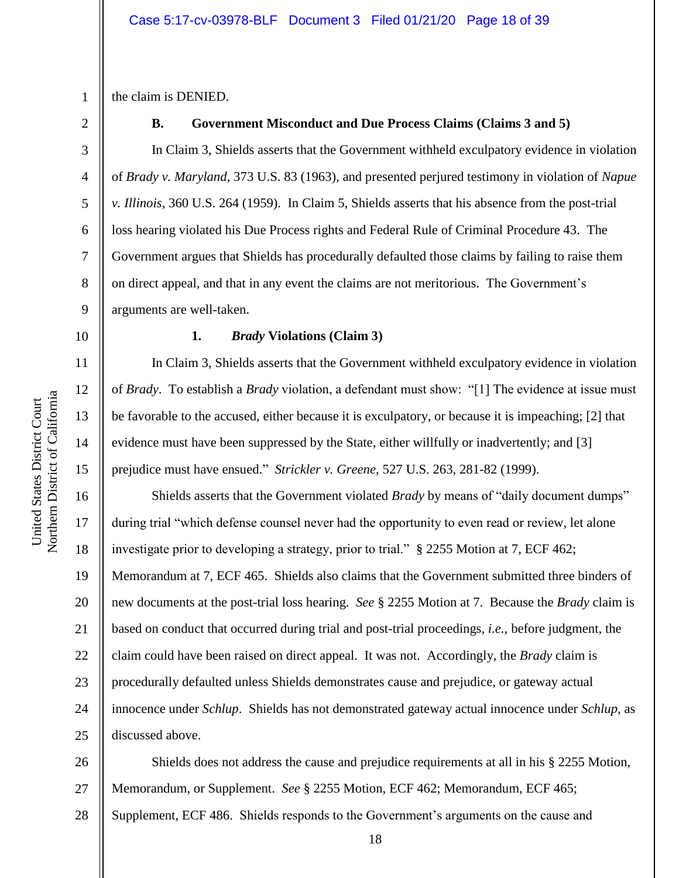1 the claim is DENIED.

2

3

4

5

6

7

8

9

# **B. Government Misconduct and Due Process Claims (Claims 3 and 5)**

In Claim 3, Shields asserts that the Government withheld exculpatory evidence in violation of *Brady v. Maryland*, 373 U.S. 83 (1963), and presented perjured testimony in violation of *Napue v. Illinois*, 360 U.S. 264 (1959). In Claim 5, Shields asserts that his absence from the post-trial loss hearing violated his Due Process rights and Federal Rule of Criminal Procedure 43. The Government argues that Shields has procedurally defaulted those claims by failing to raise them on direct appeal, and that in any event the claims are not meritorious. The Government's arguments are well-taken.

10

11

12

13

14

15

#### **1.** *Brady* **Violations (Claim 3)**

In Claim 3, Shields asserts that the Government withheld exculpatory evidence in violation of *Brady*. To establish a *Brady* violation, a defendant must show: "[1] The evidence at issue must be favorable to the accused, either because it is exculpatory, or because it is impeaching; [2] that evidence must have been suppressed by the State, either willfully or inadvertently; and [3] prejudice must have ensued." *Strickler v. Greene*, 527 U.S. 263, 281-82 (1999).

16 17 18 19 20 21 22 23 24 25 Shields asserts that the Government violated *Brady* by means of "daily document dumps" during trial "which defense counsel never had the opportunity to even read or review, let alone investigate prior to developing a strategy, prior to trial." § 2255 Motion at 7, ECF 462; Memorandum at 7, ECF 465. Shields also claims that the Government submitted three binders of new documents at the post-trial loss hearing. *See* § 2255 Motion at 7. Because the *Brady* claim is based on conduct that occurred during trial and post-trial proceedings, *i.e.*, before judgment, the claim could have been raised on direct appeal. It was not. Accordingly, the *Brady* claim is procedurally defaulted unless Shields demonstrates cause and prejudice, or gateway actual innocence under *Schlup*. Shields has not demonstrated gateway actual innocence under *Schlup*, as discussed above.

26 27 28 Shields does not address the cause and prejudice requirements at all in his § 2255 Motion, Memorandum, or Supplement. *See* § 2255 Motion, ECF 462; Memorandum, ECF 465; Supplement, ECF 486. Shields responds to the Government's arguments on the cause and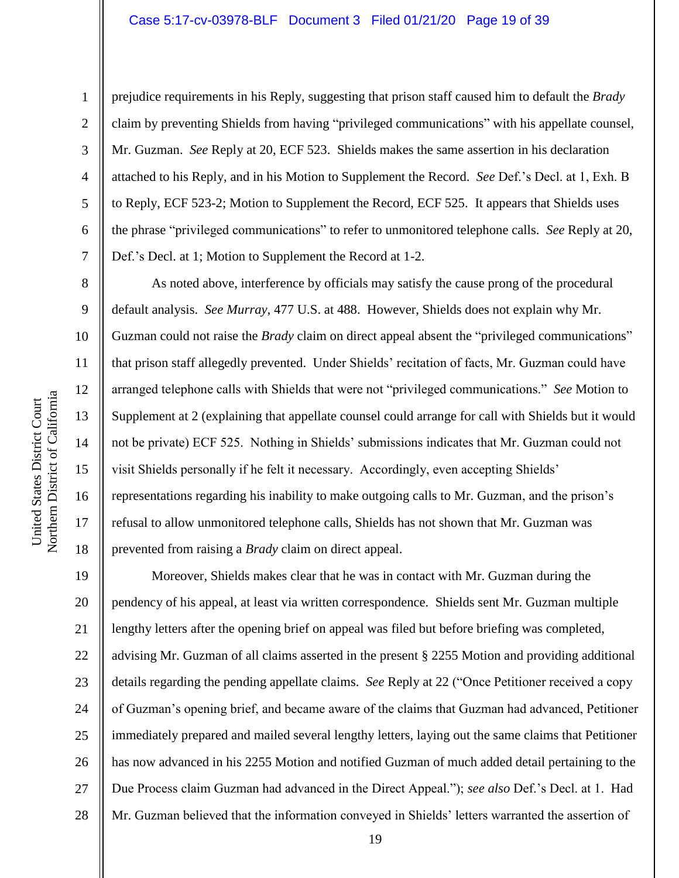# Case 5:17-cv-03978-BLF Document 3 Filed 01/21/20 Page 19 of 39

1

2

3

4

5

6

7

8

9

10

11

12

13

14

15

16

17

18

prejudice requirements in his Reply, suggesting that prison staff caused him to default the *Brady* claim by preventing Shields from having "privileged communications" with his appellate counsel, Mr. Guzman. *See* Reply at 20, ECF 523. Shields makes the same assertion in his declaration attached to his Reply, and in his Motion to Supplement the Record. *See* Def.'s Decl. at 1, Exh. B to Reply, ECF 523-2; Motion to Supplement the Record, ECF 525. It appears that Shields uses the phrase "privileged communications" to refer to unmonitored telephone calls. *See* Reply at 20, Def.'s Decl. at 1; Motion to Supplement the Record at 1-2.

As noted above, interference by officials may satisfy the cause prong of the procedural default analysis. *See Murray*, 477 U.S. at 488. However, Shields does not explain why Mr. Guzman could not raise the *Brady* claim on direct appeal absent the "privileged communications" that prison staff allegedly prevented. Under Shields' recitation of facts, Mr. Guzman could have arranged telephone calls with Shields that were not "privileged communications." *See* Motion to Supplement at 2 (explaining that appellate counsel could arrange for call with Shields but it would not be private) ECF 525. Nothing in Shields' submissions indicates that Mr. Guzman could not visit Shields personally if he felt it necessary. Accordingly, even accepting Shields' representations regarding his inability to make outgoing calls to Mr. Guzman, and the prison's refusal to allow unmonitored telephone calls, Shields has not shown that Mr. Guzman was prevented from raising a *Brady* claim on direct appeal.

19 20 21 22 23 24 25 26 27 28 Moreover, Shields makes clear that he was in contact with Mr. Guzman during the pendency of his appeal, at least via written correspondence. Shields sent Mr. Guzman multiple lengthy letters after the opening brief on appeal was filed but before briefing was completed, advising Mr. Guzman of all claims asserted in the present § 2255 Motion and providing additional details regarding the pending appellate claims. *See* Reply at 22 ("Once Petitioner received a copy of Guzman's opening brief, and became aware of the claims that Guzman had advanced, Petitioner immediately prepared and mailed several lengthy letters, laying out the same claims that Petitioner has now advanced in his 2255 Motion and notified Guzman of much added detail pertaining to the Due Process claim Guzman had advanced in the Direct Appeal."); *see also* Def.'s Decl. at 1. Had Mr. Guzman believed that the information conveyed in Shields' letters warranted the assertion of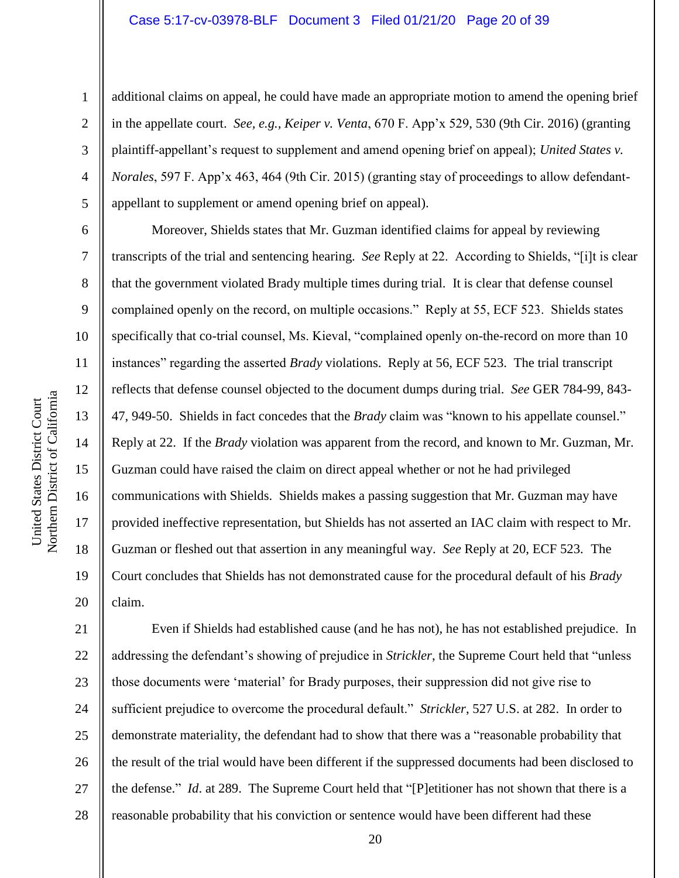# Case 5:17-cv-03978-BLF Document 3 Filed 01/21/20 Page 20 of 39

additional claims on appeal, he could have made an appropriate motion to amend the opening brief in the appellate court. *See, e.g., Keiper v. Venta*, 670 F. App'x 529, 530 (9th Cir. 2016) (granting plaintiff-appellant's request to supplement and amend opening brief on appeal); *United States v. Norales*, 597 F. App'x 463, 464 (9th Cir. 2015) (granting stay of proceedings to allow defendantappellant to supplement or amend opening brief on appeal).

Moreover, Shields states that Mr. Guzman identified claims for appeal by reviewing transcripts of the trial and sentencing hearing. *See* Reply at 22. According to Shields, "[i]t is clear that the government violated Brady multiple times during trial. It is clear that defense counsel complained openly on the record, on multiple occasions." Reply at 55, ECF 523. Shields states specifically that co-trial counsel, Ms. Kieval, "complained openly on-the-record on more than 10 instances" regarding the asserted *Brady* violations. Reply at 56, ECF 523. The trial transcript reflects that defense counsel objected to the document dumps during trial. *See* GER 784-99, 843- 47, 949-50. Shields in fact concedes that the *Brady* claim was "known to his appellate counsel." Reply at 22. If the *Brady* violation was apparent from the record, and known to Mr. Guzman, Mr. Guzman could have raised the claim on direct appeal whether or not he had privileged communications with Shields. Shields makes a passing suggestion that Mr. Guzman may have provided ineffective representation, but Shields has not asserted an IAC claim with respect to Mr. Guzman or fleshed out that assertion in any meaningful way. *See* Reply at 20, ECF 523. The Court concludes that Shields has not demonstrated cause for the procedural default of his *Brady* claim.

21 22 23 24 25 26 27 28 Even if Shields had established cause (and he has not), he has not established prejudice. In addressing the defendant's showing of prejudice in *Strickler*, the Supreme Court held that "unless those documents were 'material' for Brady purposes, their suppression did not give rise to sufficient prejudice to overcome the procedural default." *Strickler*, 527 U.S. at 282. In order to demonstrate materiality, the defendant had to show that there was a "reasonable probability that the result of the trial would have been different if the suppressed documents had been disclosed to the defense." *Id*. at 289. The Supreme Court held that "[P]etitioner has not shown that there is a reasonable probability that his conviction or sentence would have been different had these

1

2

3

4

5

6

7

8

9

10

11

12

13

14

15

16

17

18

19

20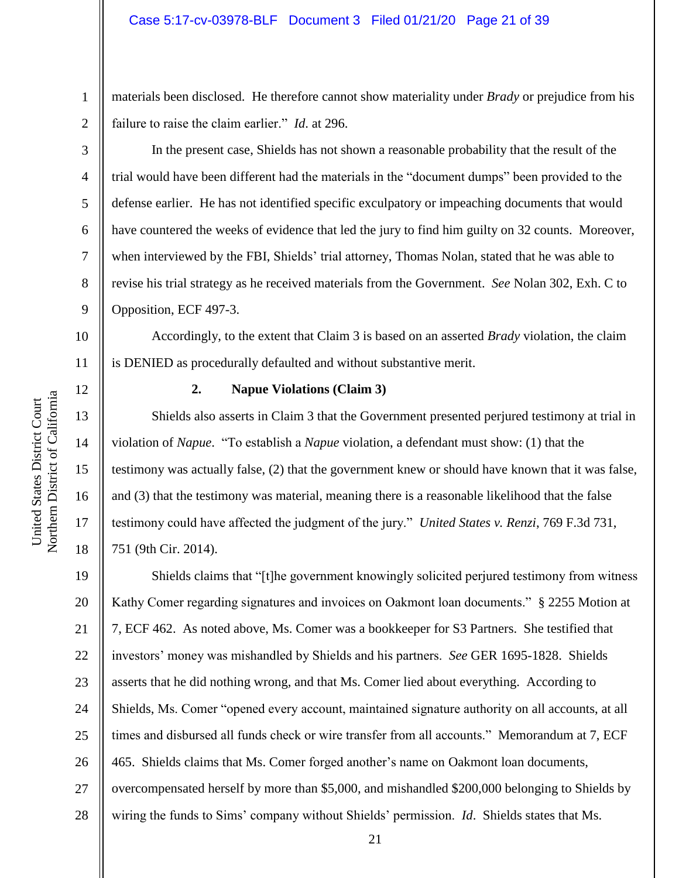materials been disclosed. He therefore cannot show materiality under *Brady* or prejudice from his failure to raise the claim earlier." *Id*. at 296.

In the present case, Shields has not shown a reasonable probability that the result of the trial would have been different had the materials in the "document dumps" been provided to the defense earlier. He has not identified specific exculpatory or impeaching documents that would have countered the weeks of evidence that led the jury to find him guilty on 32 counts. Moreover, when interviewed by the FBI, Shields' trial attorney, Thomas Nolan, stated that he was able to revise his trial strategy as he received materials from the Government. *See* Nolan 302, Exh. C to Opposition, ECF 497-3.

10 Accordingly, to the extent that Claim 3 is based on an asserted *Brady* violation, the claim is DENIED as procedurally defaulted and without substantive merit.

12 13

1

2

3

4

5

6

7

8

9

11

14

15

United States District Court Northern District of California

Northern District of California United States District Court

16

17

18

# **2. Napue Violations (Claim 3)**

Shields also asserts in Claim 3 that the Government presented perjured testimony at trial in violation of *Napue*. "To establish a *Napue* violation, a defendant must show: (1) that the testimony was actually false, (2) that the government knew or should have known that it was false, and (3) that the testimony was material, meaning there is a reasonable likelihood that the false testimony could have affected the judgment of the jury." *United States v. Renzi*, 769 F.3d 731, 751 (9th Cir. 2014).

19 20 21 22 23 24 25 26 27 28 Shields claims that "[t]he government knowingly solicited perjured testimony from witness Kathy Comer regarding signatures and invoices on Oakmont loan documents." § 2255 Motion at 7, ECF 462. As noted above, Ms. Comer was a bookkeeper for S3 Partners. She testified that investors' money was mishandled by Shields and his partners. *See* GER 1695-1828. Shields asserts that he did nothing wrong, and that Ms. Comer lied about everything. According to Shields, Ms. Comer "opened every account, maintained signature authority on all accounts, at all times and disbursed all funds check or wire transfer from all accounts." Memorandum at 7, ECF 465. Shields claims that Ms. Comer forged another's name on Oakmont loan documents, overcompensated herself by more than \$5,000, and mishandled \$200,000 belonging to Shields by wiring the funds to Sims' company without Shields' permission. *Id*. Shields states that Ms.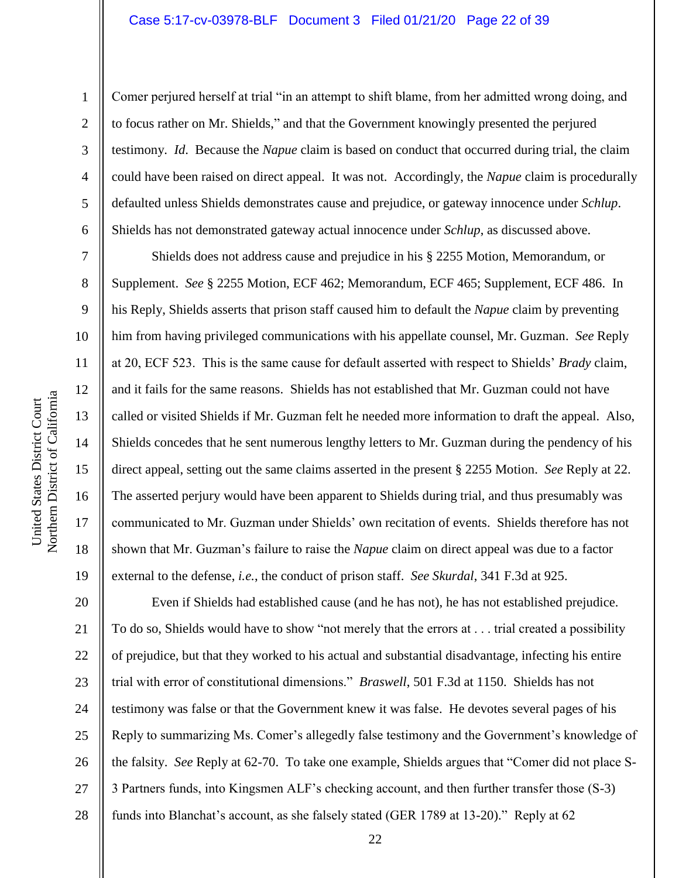# Case 5:17-cv-03978-BLF Document 3 Filed 01/21/20 Page 22 of 39

United States District Court

1

2

3

4

5

6

7

8

9

10

11

12

13

14

15

16

17

18

19

Comer perjured herself at trial "in an attempt to shift blame, from her admitted wrong doing, and to focus rather on Mr. Shields," and that the Government knowingly presented the perjured testimony. *Id*. Because the *Napue* claim is based on conduct that occurred during trial, the claim could have been raised on direct appeal. It was not. Accordingly, the *Napue* claim is procedurally defaulted unless Shields demonstrates cause and prejudice, or gateway innocence under *Schlup*. Shields has not demonstrated gateway actual innocence under *Schlup*, as discussed above.

Shields does not address cause and prejudice in his § 2255 Motion, Memorandum, or Supplement. *See* § 2255 Motion, ECF 462; Memorandum, ECF 465; Supplement, ECF 486. In his Reply, Shields asserts that prison staff caused him to default the *Napue* claim by preventing him from having privileged communications with his appellate counsel, Mr. Guzman. *See* Reply at 20, ECF 523. This is the same cause for default asserted with respect to Shields' *Brady* claim, and it fails for the same reasons. Shields has not established that Mr. Guzman could not have called or visited Shields if Mr. Guzman felt he needed more information to draft the appeal. Also, Shields concedes that he sent numerous lengthy letters to Mr. Guzman during the pendency of his direct appeal, setting out the same claims asserted in the present § 2255 Motion. *See* Reply at 22. The asserted perjury would have been apparent to Shields during trial, and thus presumably was communicated to Mr. Guzman under Shields' own recitation of events. Shields therefore has not shown that Mr. Guzman's failure to raise the *Napue* claim on direct appeal was due to a factor external to the defense, *i.e.*, the conduct of prison staff. *See Skurdal*, 341 F.3d at 925.

20 21 22 23 24 25 26 27 28 Even if Shields had established cause (and he has not), he has not established prejudice. To do so, Shields would have to show "not merely that the errors at . . . trial created a possibility of prejudice, but that they worked to his actual and substantial disadvantage, infecting his entire trial with error of constitutional dimensions." *Braswell*, 501 F.3d at 1150. Shields has not testimony was false or that the Government knew it was false. He devotes several pages of his Reply to summarizing Ms. Comer's allegedly false testimony and the Government's knowledge of the falsity. *See* Reply at 62-70. To take one example, Shields argues that "Comer did not place S-3 Partners funds, into Kingsmen ALF's checking account, and then further transfer those (S-3) funds into Blanchat's account, as she falsely stated (GER 1789 at 13-20)." Reply at 62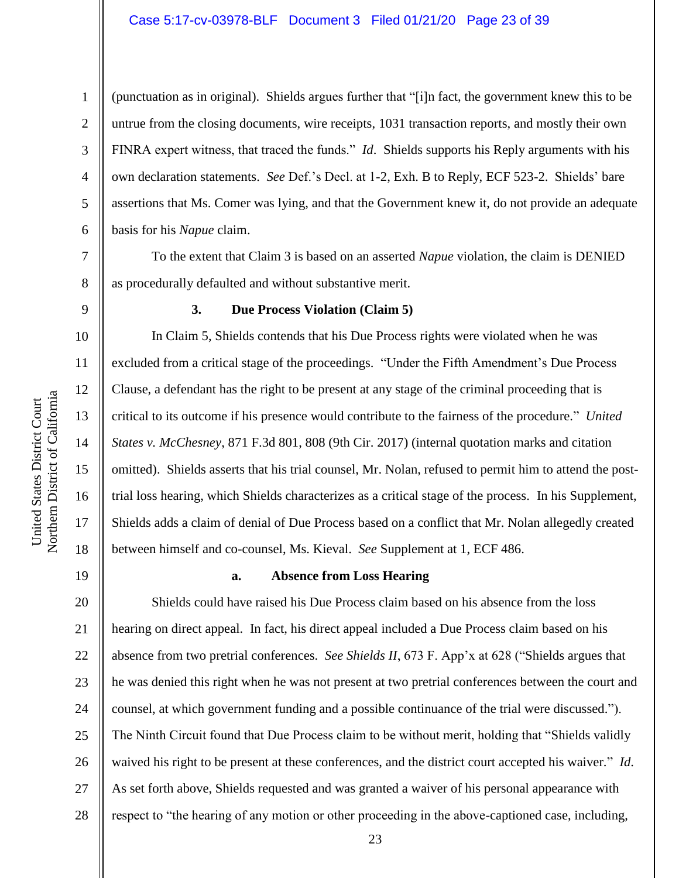United States District Court

United States District Court

1

2

3

4

5

6

7

8

9

(punctuation as in original). Shields argues further that "[i]n fact, the government knew this to be untrue from the closing documents, wire receipts, 1031 transaction reports, and mostly their own FINRA expert witness, that traced the funds." *Id*. Shields supports his Reply arguments with his own declaration statements. *See* Def.'s Decl. at 1-2, Exh. B to Reply, ECF 523-2. Shields' bare assertions that Ms. Comer was lying, and that the Government knew it, do not provide an adequate basis for his *Napue* claim.

To the extent that Claim 3 is based on an asserted *Napue* violation, the claim is DENIED as procedurally defaulted and without substantive merit.

# **3. Due Process Violation (Claim 5)**

In Claim 5, Shields contends that his Due Process rights were violated when he was excluded from a critical stage of the proceedings. "Under the Fifth Amendment's Due Process Clause, a defendant has the right to be present at any stage of the criminal proceeding that is critical to its outcome if his presence would contribute to the fairness of the procedure." *United States v. McChesney*, 871 F.3d 801, 808 (9th Cir. 2017) (internal quotation marks and citation omitted). Shields asserts that his trial counsel, Mr. Nolan, refused to permit him to attend the posttrial loss hearing, which Shields characterizes as a critical stage of the process. In his Supplement, Shields adds a claim of denial of Due Process based on a conflict that Mr. Nolan allegedly created between himself and co-counsel, Ms. Kieval. *See* Supplement at 1, ECF 486.

19

17

18

#### **a. Absence from Loss Hearing**

20 21 22 23 24 25 26 27 28 Shields could have raised his Due Process claim based on his absence from the loss hearing on direct appeal. In fact, his direct appeal included a Due Process claim based on his absence from two pretrial conferences. *See Shields II*, 673 F. App'x at 628 ("Shields argues that he was denied this right when he was not present at two pretrial conferences between the court and counsel, at which government funding and a possible continuance of the trial were discussed."). The Ninth Circuit found that Due Process claim to be without merit, holding that "Shields validly waived his right to be present at these conferences, and the district court accepted his waiver." *Id*. As set forth above, Shields requested and was granted a waiver of his personal appearance with respect to "the hearing of any motion or other proceeding in the above-captioned case, including,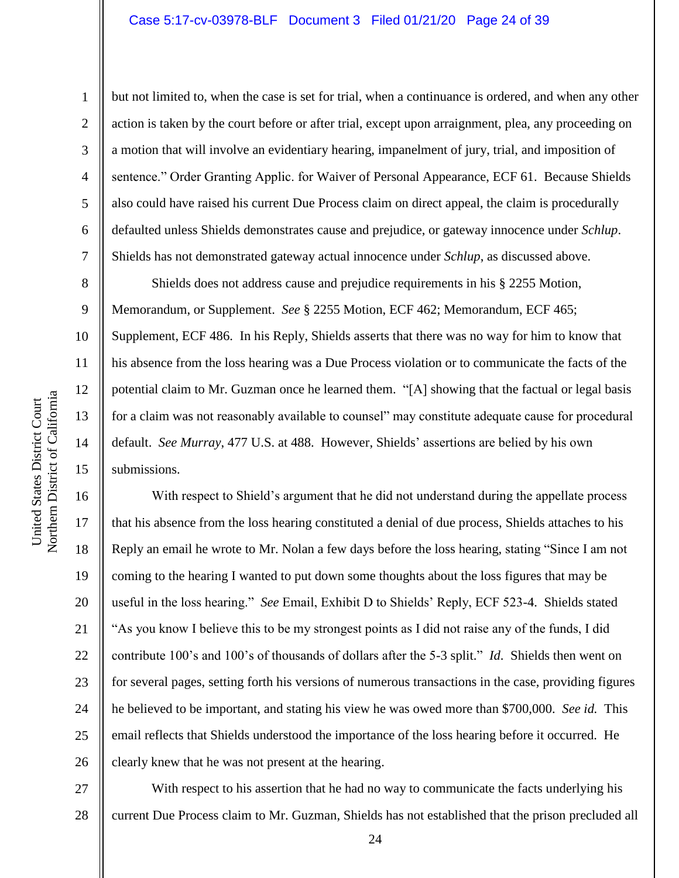# Case 5:17-cv-03978-BLF Document 3 Filed 01/21/20 Page 24 of 39

but not limited to, when the case is set for trial, when a continuance is ordered, and when any other action is taken by the court before or after trial, except upon arraignment, plea, any proceeding on a motion that will involve an evidentiary hearing, impanelment of jury, trial, and imposition of sentence." Order Granting Applic. for Waiver of Personal Appearance, ECF 61. Because Shields also could have raised his current Due Process claim on direct appeal, the claim is procedurally defaulted unless Shields demonstrates cause and prejudice, or gateway innocence under *Schlup*. Shields has not demonstrated gateway actual innocence under *Schlup*, as discussed above.

Shields does not address cause and prejudice requirements in his § 2255 Motion, Memorandum, or Supplement. *See* § 2255 Motion, ECF 462; Memorandum, ECF 465; Supplement, ECF 486. In his Reply, Shields asserts that there was no way for him to know that his absence from the loss hearing was a Due Process violation or to communicate the facts of the potential claim to Mr. Guzman once he learned them. "[A] showing that the factual or legal basis for a claim was not reasonably available to counsel" may constitute adequate cause for procedural default. *See Murray*, 477 U.S. at 488. However, Shields' assertions are belied by his own submissions.

16 20 22 23 24 26 With respect to Shield's argument that he did not understand during the appellate process that his absence from the loss hearing constituted a denial of due process, Shields attaches to his Reply an email he wrote to Mr. Nolan a few days before the loss hearing, stating "Since I am not coming to the hearing I wanted to put down some thoughts about the loss figures that may be useful in the loss hearing." *See* Email, Exhibit D to Shields' Reply, ECF 523-4. Shields stated "As you know I believe this to be my strongest points as I did not raise any of the funds, I did contribute 100's and 100's of thousands of dollars after the 5-3 split." *Id*. Shields then went on for several pages, setting forth his versions of numerous transactions in the case, providing figures he believed to be important, and stating his view he was owed more than \$700,000. *See id.* This email reflects that Shields understood the importance of the loss hearing before it occurred. He clearly knew that he was not present at the hearing.

27 28 With respect to his assertion that he had no way to communicate the facts underlying his current Due Process claim to Mr. Guzman, Shields has not established that the prison precluded all

1

2

3

4

5

6

7

8

9

10

11

12

13

14

15

17

18

19

21

25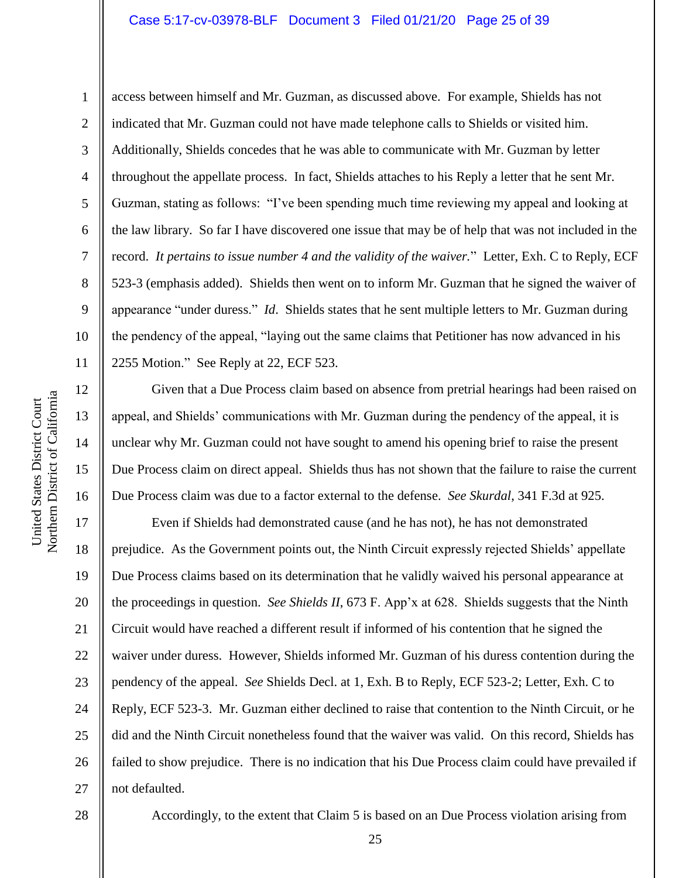# Case 5:17-cv-03978-BLF Document 3 Filed 01/21/20 Page 25 of 39

Northern District of California Northern District of California United States District Court United States District Court

1

2

3

8

9

11

12

13

14

15

16

4 5 6 7 10 access between himself and Mr. Guzman, as discussed above. For example, Shields has not indicated that Mr. Guzman could not have made telephone calls to Shields or visited him. Additionally, Shields concedes that he was able to communicate with Mr. Guzman by letter throughout the appellate process. In fact, Shields attaches to his Reply a letter that he sent Mr. Guzman, stating as follows: "I've been spending much time reviewing my appeal and looking at the law library. So far I have discovered one issue that may be of help that was not included in the record. *It pertains to issue number 4 and the validity of the waiver.*" Letter, Exh. C to Reply, ECF 523-3 (emphasis added). Shields then went on to inform Mr. Guzman that he signed the waiver of appearance "under duress." *Id*. Shields states that he sent multiple letters to Mr. Guzman during the pendency of the appeal, "laying out the same claims that Petitioner has now advanced in his 2255 Motion." See Reply at 22, ECF 523.

Given that a Due Process claim based on absence from pretrial hearings had been raised on appeal, and Shields' communications with Mr. Guzman during the pendency of the appeal, it is unclear why Mr. Guzman could not have sought to amend his opening brief to raise the present Due Process claim on direct appeal. Shields thus has not shown that the failure to raise the current Due Process claim was due to a factor external to the defense. *See Skurdal*, 341 F.3d at 925.

17 18 19 20 21 22 23 24 25 26 27 Even if Shields had demonstrated cause (and he has not), he has not demonstrated prejudice. As the Government points out, the Ninth Circuit expressly rejected Shields' appellate Due Process claims based on its determination that he validly waived his personal appearance at the proceedings in question. *See Shields II*, 673 F. App'x at 628. Shields suggests that the Ninth Circuit would have reached a different result if informed of his contention that he signed the waiver under duress. However, Shields informed Mr. Guzman of his duress contention during the pendency of the appeal. *See* Shields Decl. at 1, Exh. B to Reply, ECF 523-2; Letter, Exh. C to Reply, ECF 523-3. Mr. Guzman either declined to raise that contention to the Ninth Circuit, or he did and the Ninth Circuit nonetheless found that the waiver was valid. On this record, Shields has failed to show prejudice. There is no indication that his Due Process claim could have prevailed if not defaulted.

28

Accordingly, to the extent that Claim 5 is based on an Due Process violation arising from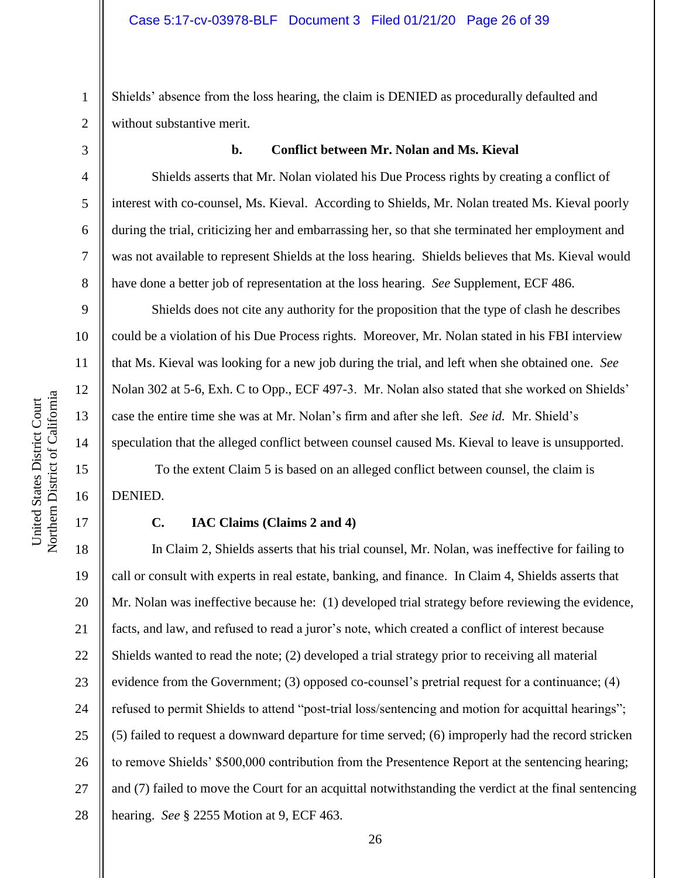2 Shields' absence from the loss hearing, the claim is DENIED as procedurally defaulted and without substantive merit.

3

4

5

6

7

8

9

10

11

12

13

14

15

16

17

1

#### **b. Conflict between Mr. Nolan and Ms. Kieval**

Shields asserts that Mr. Nolan violated his Due Process rights by creating a conflict of interest with co-counsel, Ms. Kieval. According to Shields, Mr. Nolan treated Ms. Kieval poorly during the trial, criticizing her and embarrassing her, so that she terminated her employment and was not available to represent Shields at the loss hearing. Shields believes that Ms. Kieval would have done a better job of representation at the loss hearing. *See* Supplement, ECF 486.

Shields does not cite any authority for the proposition that the type of clash he describes could be a violation of his Due Process rights. Moreover, Mr. Nolan stated in his FBI interview that Ms. Kieval was looking for a new job during the trial, and left when she obtained one. *See*  Nolan 302 at 5-6, Exh. C to Opp., ECF 497-3. Mr. Nolan also stated that she worked on Shields' case the entire time she was at Mr. Nolan's firm and after she left. *See id.* Mr. Shield's speculation that the alleged conflict between counsel caused Ms. Kieval to leave is unsupported.

To the extent Claim 5 is based on an alleged conflict between counsel, the claim is DENIED.

# **C. IAC Claims (Claims 2 and 4)**

18 19 20 21 22 23 24 25 26 27 28 In Claim 2, Shields asserts that his trial counsel, Mr. Nolan, was ineffective for failing to call or consult with experts in real estate, banking, and finance. In Claim 4, Shields asserts that Mr. Nolan was ineffective because he: (1) developed trial strategy before reviewing the evidence, facts, and law, and refused to read a juror's note, which created a conflict of interest because Shields wanted to read the note; (2) developed a trial strategy prior to receiving all material evidence from the Government; (3) opposed co-counsel's pretrial request for a continuance; (4) refused to permit Shields to attend "post-trial loss/sentencing and motion for acquittal hearings"; (5) failed to request a downward departure for time served; (6) improperly had the record stricken to remove Shields' \$500,000 contribution from the Presentence Report at the sentencing hearing; and (7) failed to move the Court for an acquittal notwithstanding the verdict at the final sentencing hearing. *See* § 2255 Motion at 9, ECF 463.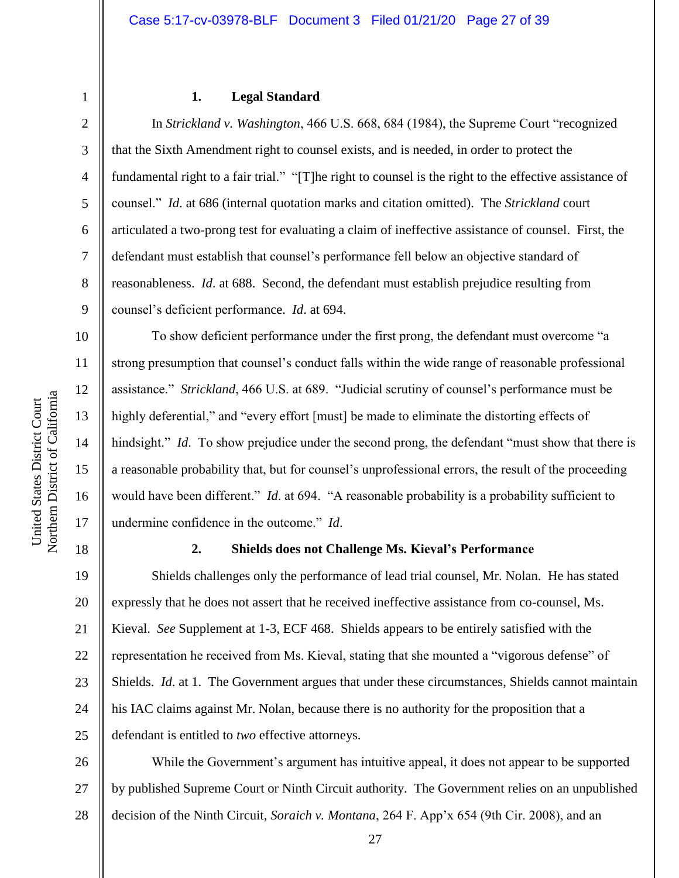1 2 3

4

5

6

7

8

9

10

11

12

13

14

15

16

17

# **1. Legal Standard**

In *Strickland v. Washington*, 466 U.S. 668, 684 (1984), the Supreme Court "recognized that the Sixth Amendment right to counsel exists, and is needed, in order to protect the fundamental right to a fair trial." "[T]he right to counsel is the right to the effective assistance of counsel." *Id*. at 686 (internal quotation marks and citation omitted). The *Strickland* court articulated a two-prong test for evaluating a claim of ineffective assistance of counsel. First, the defendant must establish that counsel's performance fell below an objective standard of reasonableness. *Id*. at 688. Second, the defendant must establish prejudice resulting from counsel's deficient performance. *Id*. at 694.

To show deficient performance under the first prong, the defendant must overcome "a strong presumption that counsel's conduct falls within the wide range of reasonable professional assistance." *Strickland*, 466 U.S. at 689. "Judicial scrutiny of counsel's performance must be highly deferential," and "every effort [must] be made to eliminate the distorting effects of hindsight." *Id*. To show prejudice under the second prong, the defendant "must show that there is a reasonable probability that, but for counsel's unprofessional errors, the result of the proceeding would have been different." *Id*. at 694. "A reasonable probability is a probability sufficient to undermine confidence in the outcome." *Id*.

18

# **2. Shields does not Challenge Ms. Kieval's Performance**

19 20 21 22 23 24 25 Shields challenges only the performance of lead trial counsel, Mr. Nolan. He has stated expressly that he does not assert that he received ineffective assistance from co-counsel, Ms. Kieval. *See* Supplement at 1-3, ECF 468. Shields appears to be entirely satisfied with the representation he received from Ms. Kieval, stating that she mounted a "vigorous defense" of Shields. *Id*. at 1. The Government argues that under these circumstances, Shields cannot maintain his IAC claims against Mr. Nolan, because there is no authority for the proposition that a defendant is entitled to *two* effective attorneys.

26 27 28 While the Government's argument has intuitive appeal, it does not appear to be supported by published Supreme Court or Ninth Circuit authority. The Government relies on an unpublished decision of the Ninth Circuit, *Soraich v. Montana*, 264 F. App'x 654 (9th Cir. 2008), and an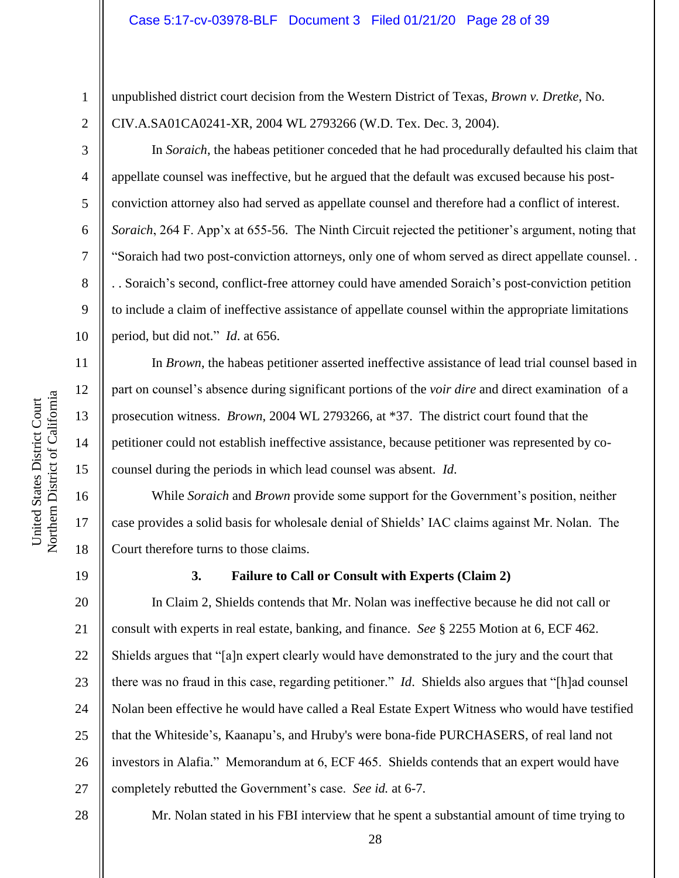unpublished district court decision from the Western District of Texas, *Brown v. Dretke*, No. CIV.A.SA01CA0241-XR, 2004 WL 2793266 (W.D. Tex. Dec. 3, 2004).

In *Soraich*, the habeas petitioner conceded that he had procedurally defaulted his claim that appellate counsel was ineffective, but he argued that the default was excused because his postconviction attorney also had served as appellate counsel and therefore had a conflict of interest. *Soraich*, 264 F. App'x at 655-56. The Ninth Circuit rejected the petitioner's argument, noting that "Soraich had two post-conviction attorneys, only one of whom served as direct appellate counsel. . . . Soraich's second, conflict-free attorney could have amended Soraich's post-conviction petition to include a claim of ineffective assistance of appellate counsel within the appropriate limitations period, but did not." *Id*. at 656.

In *Brown*, the habeas petitioner asserted ineffective assistance of lead trial counsel based in part on counsel's absence during significant portions of the *voir dire* and direct examination of a prosecution witness. *Brown*, 2004 WL 2793266, at \*37. The district court found that the petitioner could not establish ineffective assistance, because petitioner was represented by cocounsel during the periods in which lead counsel was absent. *Id*.

While *Soraich* and *Brown* provide some support for the Government's position, neither case provides a solid basis for wholesale denial of Shields' IAC claims against Mr. Nolan. The Court therefore turns to those claims.

19

1

2

3

4

5

6

7

8

9

10

11

12

13

14

15

16

17

18

# **3. Failure to Call or Consult with Experts (Claim 2)**

20 21 22 23 24 25 26 27 In Claim 2, Shields contends that Mr. Nolan was ineffective because he did not call or consult with experts in real estate, banking, and finance. *See* § 2255 Motion at 6, ECF 462. Shields argues that "[a]n expert clearly would have demonstrated to the jury and the court that there was no fraud in this case, regarding petitioner." *Id*. Shields also argues that "[h]ad counsel Nolan been effective he would have called a Real Estate Expert Witness who would have testified that the Whiteside's, Kaanapu's, and Hruby's were bona-fide PURCHASERS, of real land not investors in Alafia." Memorandum at 6, ECF 465. Shields contends that an expert would have completely rebutted the Government's case. *See id.* at 6-7.

28

Mr. Nolan stated in his FBI interview that he spent a substantial amount of time trying to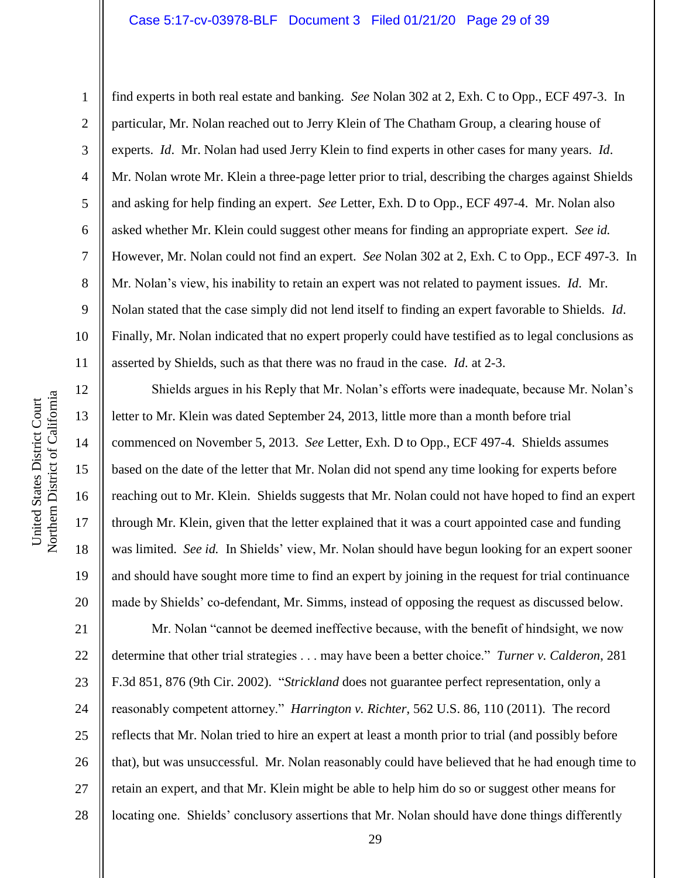# Case 5:17-cv-03978-BLF Document 3 Filed 01/21/20 Page 29 of 39

Northern District of California Northern District of California United States District Court

United States District Court

1

2

3

4

5

8

9

11

12

13

14

15

16

17

18

19

20

6 7 10 find experts in both real estate and banking. *See* Nolan 302 at 2, Exh. C to Opp., ECF 497-3. In particular, Mr. Nolan reached out to Jerry Klein of The Chatham Group, a clearing house of experts. *Id*. Mr. Nolan had used Jerry Klein to find experts in other cases for many years. *Id*. Mr. Nolan wrote Mr. Klein a three-page letter prior to trial, describing the charges against Shields and asking for help finding an expert. *See* Letter, Exh. D to Opp., ECF 497-4. Mr. Nolan also asked whether Mr. Klein could suggest other means for finding an appropriate expert. *See id.* However, Mr. Nolan could not find an expert. *See* Nolan 302 at 2, Exh. C to Opp., ECF 497-3. In Mr. Nolan's view, his inability to retain an expert was not related to payment issues. *Id*. Mr. Nolan stated that the case simply did not lend itself to finding an expert favorable to Shields. *Id*. Finally, Mr. Nolan indicated that no expert properly could have testified as to legal conclusions as asserted by Shields, such as that there was no fraud in the case. *Id*. at 2-3.

Shields argues in his Reply that Mr. Nolan's efforts were inadequate, because Mr. Nolan's letter to Mr. Klein was dated September 24, 2013, little more than a month before trial commenced on November 5, 2013. *See* Letter, Exh. D to Opp., ECF 497-4. Shields assumes based on the date of the letter that Mr. Nolan did not spend any time looking for experts before reaching out to Mr. Klein. Shields suggests that Mr. Nolan could not have hoped to find an expert through Mr. Klein, given that the letter explained that it was a court appointed case and funding was limited. *See id.* In Shields' view, Mr. Nolan should have begun looking for an expert sooner and should have sought more time to find an expert by joining in the request for trial continuance made by Shields' co-defendant, Mr. Simms, instead of opposing the request as discussed below.

21 22 23 24 25 26 27 28 Mr. Nolan "cannot be deemed ineffective because, with the benefit of hindsight, we now determine that other trial strategies . . . may have been a better choice." *Turner v. Calderon*, 281 F.3d 851, 876 (9th Cir. 2002). "*Strickland* does not guarantee perfect representation, only a reasonably competent attorney." *Harrington v. Richter*, 562 U.S. 86, 110 (2011). The record reflects that Mr. Nolan tried to hire an expert at least a month prior to trial (and possibly before that), but was unsuccessful. Mr. Nolan reasonably could have believed that he had enough time to retain an expert, and that Mr. Klein might be able to help him do so or suggest other means for locating one. Shields' conclusory assertions that Mr. Nolan should have done things differently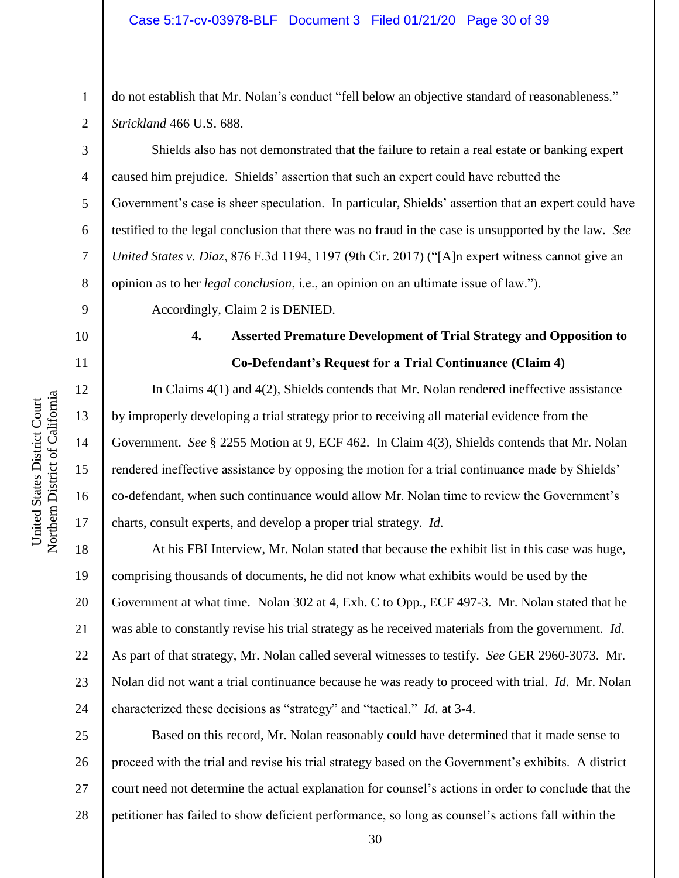do not establish that Mr. Nolan's conduct "fell below an objective standard of reasonableness." *Strickland* 466 U.S. 688.

Shields also has not demonstrated that the failure to retain a real estate or banking expert caused him prejudice. Shields' assertion that such an expert could have rebutted the Government's case is sheer speculation. In particular, Shields' assertion that an expert could have testified to the legal conclusion that there was no fraud in the case is unsupported by the law. *See United States v. Diaz*, 876 F.3d 1194, 1197 (9th Cir. 2017) ("[A]n expert witness cannot give an opinion as to her *legal conclusion*, i.e., an opinion on an ultimate issue of law.").

Accordingly, Claim 2 is DENIED.

# 10

11

12

13

14

15

16

17

1

2

3

4

5

6

7

8

9

# **4. Asserted Premature Development of Trial Strategy and Opposition to Co-Defendant's Request for a Trial Continuance (Claim 4)**

In Claims 4(1) and 4(2), Shields contends that Mr. Nolan rendered ineffective assistance by improperly developing a trial strategy prior to receiving all material evidence from the Government. *See* § 2255 Motion at 9, ECF 462. In Claim 4(3), Shields contends that Mr. Nolan rendered ineffective assistance by opposing the motion for a trial continuance made by Shields' co-defendant, when such continuance would allow Mr. Nolan time to review the Government's charts, consult experts, and develop a proper trial strategy. *Id*.

18 19 20 21 22 23 24 At his FBI Interview, Mr. Nolan stated that because the exhibit list in this case was huge, comprising thousands of documents, he did not know what exhibits would be used by the Government at what time. Nolan 302 at 4, Exh. C to Opp., ECF 497-3. Mr. Nolan stated that he was able to constantly revise his trial strategy as he received materials from the government. *Id*. As part of that strategy, Mr. Nolan called several witnesses to testify. *See* GER 2960-3073. Mr. Nolan did not want a trial continuance because he was ready to proceed with trial. *Id*. Mr. Nolan characterized these decisions as "strategy" and "tactical." *Id*. at 3-4.

25 26 27 28 Based on this record, Mr. Nolan reasonably could have determined that it made sense to proceed with the trial and revise his trial strategy based on the Government's exhibits. A district court need not determine the actual explanation for counsel's actions in order to conclude that the petitioner has failed to show deficient performance, so long as counsel's actions fall within the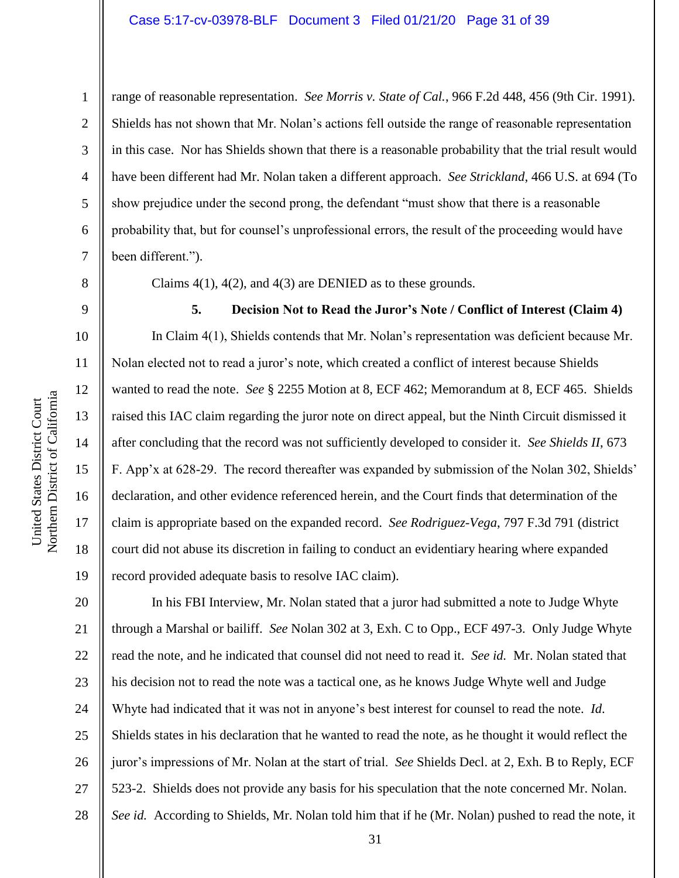# Case 5:17-cv-03978-BLF Document 3 Filed 01/21/20 Page 31 of 39

range of reasonable representation. *See Morris v. State of Cal.*, 966 F.2d 448, 456 (9th Cir. 1991). Shields has not shown that Mr. Nolan's actions fell outside the range of reasonable representation in this case. Nor has Shields shown that there is a reasonable probability that the trial result would have been different had Mr. Nolan taken a different approach. *See Strickland*, 466 U.S. at 694 (To show prejudice under the second prong, the defendant "must show that there is a reasonable probability that, but for counsel's unprofessional errors, the result of the proceeding would have been different.").

Claims 4(1), 4(2), and 4(3) are DENIED as to these grounds.

10 12 14 16 **5. Decision Not to Read the Juror's Note / Conflict of Interest (Claim 4)** In Claim 4(1), Shields contends that Mr. Nolan's representation was deficient because Mr. Nolan elected not to read a juror's note, which created a conflict of interest because Shields wanted to read the note. *See* § 2255 Motion at 8, ECF 462; Memorandum at 8, ECF 465. Shields raised this IAC claim regarding the juror note on direct appeal, but the Ninth Circuit dismissed it after concluding that the record was not sufficiently developed to consider it. *See Shields II*, 673 F. App'x at 628-29. The record thereafter was expanded by submission of the Nolan 302, Shields' declaration, and other evidence referenced herein, and the Court finds that determination of the claim is appropriate based on the expanded record. *See Rodriguez-Vega*, 797 F.3d 791 (district court did not abuse its discretion in failing to conduct an evidentiary hearing where expanded record provided adequate basis to resolve IAC claim).

20 21 22 23 24 25 26 27 28 In his FBI Interview, Mr. Nolan stated that a juror had submitted a note to Judge Whyte through a Marshal or bailiff. *See* Nolan 302 at 3, Exh. C to Opp., ECF 497-3. Only Judge Whyte read the note, and he indicated that counsel did not need to read it. *See id.* Mr. Nolan stated that his decision not to read the note was a tactical one, as he knows Judge Whyte well and Judge Whyte had indicated that it was not in anyone's best interest for counsel to read the note. *Id*. Shields states in his declaration that he wanted to read the note, as he thought it would reflect the juror's impressions of Mr. Nolan at the start of trial. *See* Shields Decl. at 2, Exh. B to Reply, ECF 523-2. Shields does not provide any basis for his speculation that the note concerned Mr. Nolan. *See id.* According to Shields, Mr. Nolan told him that if he (Mr. Nolan) pushed to read the note, it

1

2

3

4

5

6

7

8

9

11

13

15

17

18

19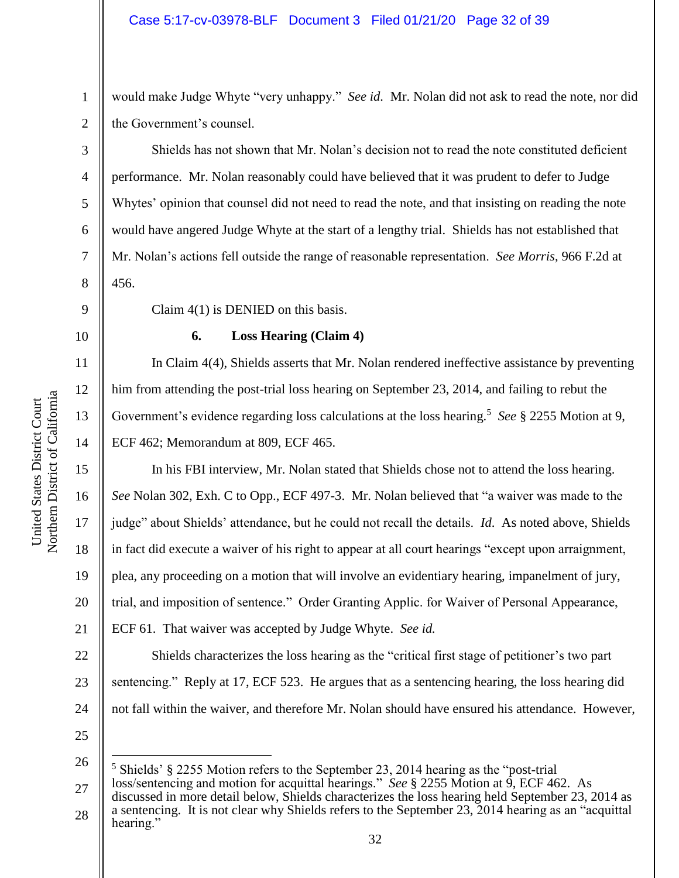would make Judge Whyte "very unhappy." *See id.* Mr. Nolan did not ask to read the note, nor did the Government's counsel.

Shields has not shown that Mr. Nolan's decision not to read the note constituted deficient performance. Mr. Nolan reasonably could have believed that it was prudent to defer to Judge Whytes' opinion that counsel did not need to read the note, and that insisting on reading the note would have angered Judge Whyte at the start of a lengthy trial. Shields has not established that Mr. Nolan's actions fell outside the range of reasonable representation. *See Morris*, 966 F.2d at 456.

10

11

12

13

14

1

2

3

4

5

6

7

8

9

# **6. Loss Hearing (Claim 4)**

Claim 4(1) is DENIED on this basis.

In Claim 4(4), Shields asserts that Mr. Nolan rendered ineffective assistance by preventing him from attending the post-trial loss hearing on September 23, 2014, and failing to rebut the Government's evidence regarding loss calculations at the loss hearing.<sup>5</sup> See § 2255 Motion at 9, ECF 462; Memorandum at 809, ECF 465.

15 16 17 18 19 20 21 In his FBI interview, Mr. Nolan stated that Shields chose not to attend the loss hearing. *See* Nolan 302, Exh. C to Opp., ECF 497-3. Mr. Nolan believed that "a waiver was made to the judge" about Shields' attendance, but he could not recall the details. *Id*. As noted above, Shields in fact did execute a waiver of his right to appear at all court hearings "except upon arraignment, plea, any proceeding on a motion that will involve an evidentiary hearing, impanelment of jury, trial, and imposition of sentence." Order Granting Applic. for Waiver of Personal Appearance, ECF 61. That waiver was accepted by Judge Whyte. *See id.*

22 23 24 Shields characterizes the loss hearing as the "critical first stage of petitioner's two part sentencing." Reply at 17, ECF 523. He argues that as a sentencing hearing, the loss hearing did not fall within the waiver, and therefore Mr. Nolan should have ensured his attendance. However,

25

 $\overline{a}$ 

26 <sup>5</sup> Shields' § 2255 Motion refers to the September 23, 2014 hearing as the "post-trial

27 28 loss/sentencing and motion for acquittal hearings." *See* § 2255 Motion at 9, ECF 462. As discussed in more detail below, Shields characterizes the loss hearing held September 23, 2014 as a sentencing. It is not clear why Shields refers to the September 23, 2014 hearing as an "acquittal hearing."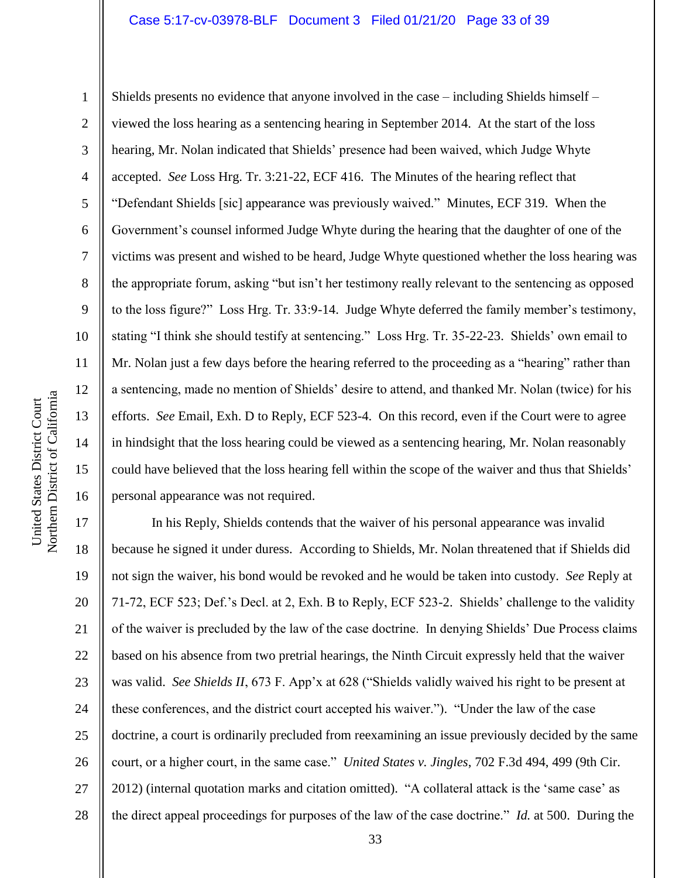# Case 5:17-cv-03978-BLF Document 3 Filed 01/21/20 Page 33 of 39

Northern District of California Northern District of California United States District Court United States District Court

1 2 3 4 5 6 7 8 9 10 11 12 13 14 15 16 Shields presents no evidence that anyone involved in the case – including Shields himself – viewed the loss hearing as a sentencing hearing in September 2014. At the start of the loss hearing, Mr. Nolan indicated that Shields' presence had been waived, which Judge Whyte accepted. *See* Loss Hrg. Tr. 3:21-22, ECF 416. The Minutes of the hearing reflect that "Defendant Shields [sic] appearance was previously waived." Minutes, ECF 319. When the Government's counsel informed Judge Whyte during the hearing that the daughter of one of the victims was present and wished to be heard, Judge Whyte questioned whether the loss hearing was the appropriate forum, asking "but isn't her testimony really relevant to the sentencing as opposed to the loss figure?" Loss Hrg. Tr. 33:9-14. Judge Whyte deferred the family member's testimony, stating "I think she should testify at sentencing." Loss Hrg. Tr. 35-22-23. Shields' own email to Mr. Nolan just a few days before the hearing referred to the proceeding as a "hearing" rather than a sentencing, made no mention of Shields' desire to attend, and thanked Mr. Nolan (twice) for his efforts. *See* Email, Exh. D to Reply, ECF 523-4. On this record, even if the Court were to agree in hindsight that the loss hearing could be viewed as a sentencing hearing, Mr. Nolan reasonably could have believed that the loss hearing fell within the scope of the waiver and thus that Shields' personal appearance was not required.

17 18 19 20 21 22 23 24 25 26 27 28 In his Reply, Shields contends that the waiver of his personal appearance was invalid because he signed it under duress. According to Shields, Mr. Nolan threatened that if Shields did not sign the waiver, his bond would be revoked and he would be taken into custody. *See* Reply at 71-72, ECF 523; Def.'s Decl. at 2, Exh. B to Reply, ECF 523-2. Shields' challenge to the validity of the waiver is precluded by the law of the case doctrine. In denying Shields' Due Process claims based on his absence from two pretrial hearings, the Ninth Circuit expressly held that the waiver was valid. *See Shields II*, 673 F. App'x at 628 ("Shields validly waived his right to be present at these conferences, and the district court accepted his waiver."). "Under the law of the case doctrine, a court is ordinarily precluded from reexamining an issue previously decided by the same court, or a higher court, in the same case." *United States v. Jingles*, 702 F.3d 494, 499 (9th Cir. 2012) (internal quotation marks and citation omitted). "A collateral attack is the 'same case' as the direct appeal proceedings for purposes of the law of the case doctrine." *Id.* at 500. During the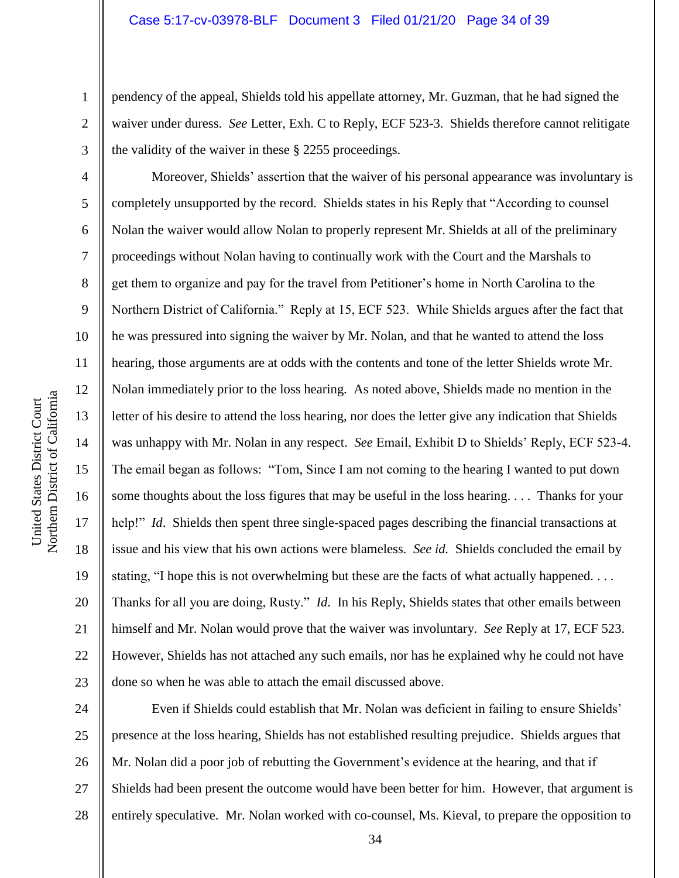pendency of the appeal, Shields told his appellate attorney, Mr. Guzman, that he had signed the waiver under duress. *See* Letter, Exh. C to Reply, ECF 523-3. Shields therefore cannot relitigate the validity of the waiver in these § 2255 proceedings.

Moreover, Shields' assertion that the waiver of his personal appearance was involuntary is completely unsupported by the record. Shields states in his Reply that "According to counsel Nolan the waiver would allow Nolan to properly represent Mr. Shields at all of the preliminary proceedings without Nolan having to continually work with the Court and the Marshals to get them to organize and pay for the travel from Petitioner's home in North Carolina to the Northern District of California." Reply at 15, ECF 523. While Shields argues after the fact that he was pressured into signing the waiver by Mr. Nolan, and that he wanted to attend the loss hearing, those arguments are at odds with the contents and tone of the letter Shields wrote Mr. Nolan immediately prior to the loss hearing. As noted above, Shields made no mention in the letter of his desire to attend the loss hearing, nor does the letter give any indication that Shields was unhappy with Mr. Nolan in any respect. *See* Email, Exhibit D to Shields' Reply, ECF 523-4. The email began as follows: "Tom, Since I am not coming to the hearing I wanted to put down some thoughts about the loss figures that may be useful in the loss hearing. . . . Thanks for your help!" *Id*. Shields then spent three single-spaced pages describing the financial transactions at issue and his view that his own actions were blameless. *See id.* Shields concluded the email by stating, "I hope this is not overwhelming but these are the facts of what actually happened. . . . Thanks for all you are doing, Rusty." *Id*. In his Reply, Shields states that other emails between himself and Mr. Nolan would prove that the waiver was involuntary. *See* Reply at 17, ECF 523. However, Shields has not attached any such emails, nor has he explained why he could not have done so when he was able to attach the email discussed above.

24 25 26 27 28 Even if Shields could establish that Mr. Nolan was deficient in failing to ensure Shields' presence at the loss hearing, Shields has not established resulting prejudice. Shields argues that Mr. Nolan did a poor job of rebutting the Government's evidence at the hearing, and that if Shields had been present the outcome would have been better for him. However, that argument is entirely speculative. Mr. Nolan worked with co-counsel, Ms. Kieval, to prepare the opposition to

1

2

3

4

5

6

7

8

9

10

11

12

13

14

15

16

17

18

19

20

21

22

23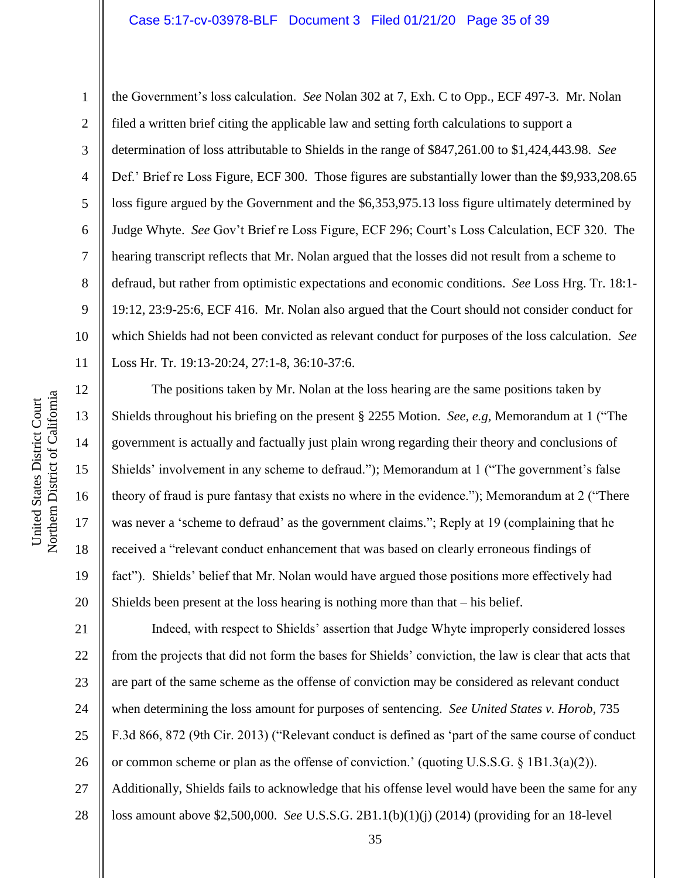# Case 5:17-cv-03978-BLF Document 3 Filed 01/21/20 Page 35 of 39

the Government's loss calculation. *See* Nolan 302 at 7, Exh. C to Opp., ECF 497-3. Mr. Nolan filed a written brief citing the applicable law and setting forth calculations to support a determination of loss attributable to Shields in the range of \$847,261.00 to \$1,424,443.98. *See* Def.' Brief re Loss Figure, ECF 300. Those figures are substantially lower than the \$9,933,208.65 loss figure argued by the Government and the \$6,353,975.13 loss figure ultimately determined by Judge Whyte. *See* Gov't Brief re Loss Figure, ECF 296; Court's Loss Calculation, ECF 320. The hearing transcript reflects that Mr. Nolan argued that the losses did not result from a scheme to defraud, but rather from optimistic expectations and economic conditions. *See* Loss Hrg. Tr. 18:1- 19:12, 23:9-25:6, ECF 416. Mr. Nolan also argued that the Court should not consider conduct for which Shields had not been convicted as relevant conduct for purposes of the loss calculation. *See* Loss Hr. Tr. 19:13-20:24, 27:1-8, 36:10-37:6.

The positions taken by Mr. Nolan at the loss hearing are the same positions taken by Shields throughout his briefing on the present § 2255 Motion. *See, e.g,* Memorandum at 1 ("The government is actually and factually just plain wrong regarding their theory and conclusions of Shields' involvement in any scheme to defraud."); Memorandum at 1 ("The government's false theory of fraud is pure fantasy that exists no where in the evidence."); Memorandum at 2 ("There was never a 'scheme to defraud' as the government claims."; Reply at 19 (complaining that he received a "relevant conduct enhancement that was based on clearly erroneous findings of fact"). Shields' belief that Mr. Nolan would have argued those positions more effectively had Shields been present at the loss hearing is nothing more than that – his belief.

21 22 23 24 25 26 27 Indeed, with respect to Shields' assertion that Judge Whyte improperly considered losses from the projects that did not form the bases for Shields' conviction, the law is clear that acts that are part of the same scheme as the offense of conviction may be considered as relevant conduct when determining the loss amount for purposes of sentencing. *See United States v. Horob*, 735 F.3d 866, 872 (9th Cir. 2013) ("Relevant conduct is defined as 'part of the same course of conduct or common scheme or plan as the offense of conviction.' (quoting U.S.S.G. § 1B1.3(a)(2)). Additionally, Shields fails to acknowledge that his offense level would have been the same for any loss amount above \$2,500,000. *See* U.S.S.G. 2B1.1(b)(1)(j) (2014) (providing for an 18-level

1

2

3

4

5

6

7

8

9

10

11

12

13

14

15

16

17

18

19

20

35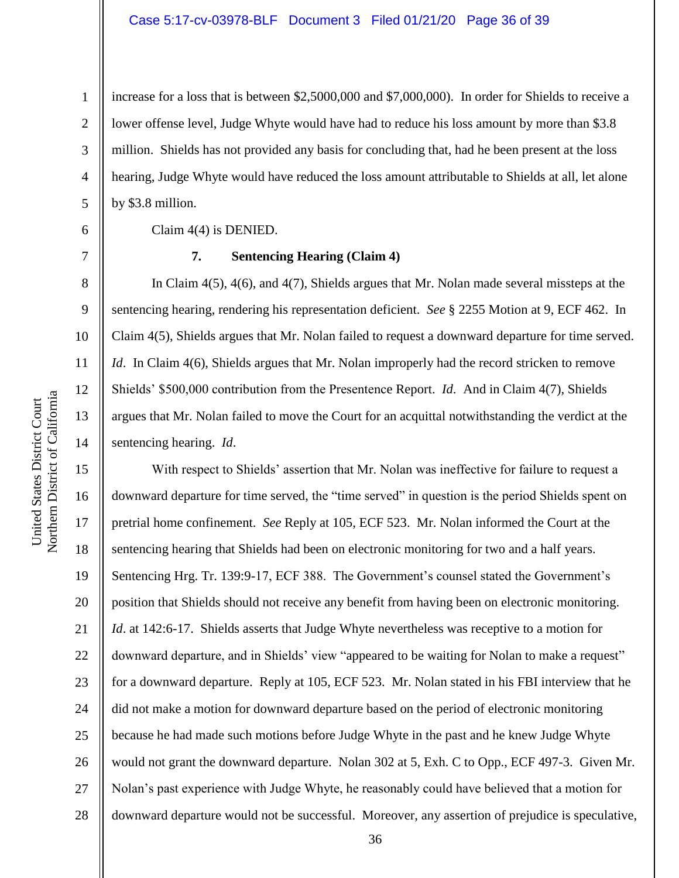increase for a loss that is between \$2,5000,000 and \$7,000,000). In order for Shields to receive a lower offense level, Judge Whyte would have had to reduce his loss amount by more than \$3.8 million. Shields has not provided any basis for concluding that, had he been present at the loss hearing, Judge Whyte would have reduced the loss amount attributable to Shields at all, let alone by \$3.8 million.

Claim 4(4) is DENIED.

1

2

3

4

5

6

7

8

9

10

11

12

13

14

#### **7. Sentencing Hearing (Claim 4)**

In Claim 4(5), 4(6), and 4(7), Shields argues that Mr. Nolan made several missteps at the sentencing hearing, rendering his representation deficient. *See* § 2255 Motion at 9, ECF 462. In Claim 4(5), Shields argues that Mr. Nolan failed to request a downward departure for time served. *Id.* In Claim 4(6), Shields argues that Mr. Nolan improperly had the record stricken to remove Shields' \$500,000 contribution from the Presentence Report. *Id*. And in Claim 4(7), Shields argues that Mr. Nolan failed to move the Court for an acquittal notwithstanding the verdict at the sentencing hearing. *Id*.

15 16 17 18 19 20 21 22 23 24 25 26 27 28 With respect to Shields' assertion that Mr. Nolan was ineffective for failure to request a downward departure for time served, the "time served" in question is the period Shields spent on pretrial home confinement. *See* Reply at 105, ECF 523. Mr. Nolan informed the Court at the sentencing hearing that Shields had been on electronic monitoring for two and a half years. Sentencing Hrg. Tr. 139:9-17, ECF 388. The Government's counsel stated the Government's position that Shields should not receive any benefit from having been on electronic monitoring. *Id.* at 142:6-17. Shields asserts that Judge Whyte nevertheless was receptive to a motion for downward departure, and in Shields' view "appeared to be waiting for Nolan to make a request" for a downward departure. Reply at 105, ECF 523. Mr. Nolan stated in his FBI interview that he did not make a motion for downward departure based on the period of electronic monitoring because he had made such motions before Judge Whyte in the past and he knew Judge Whyte would not grant the downward departure. Nolan 302 at 5, Exh. C to Opp., ECF 497-3. Given Mr. Nolan's past experience with Judge Whyte, he reasonably could have believed that a motion for downward departure would not be successful. Moreover, any assertion of prejudice is speculative,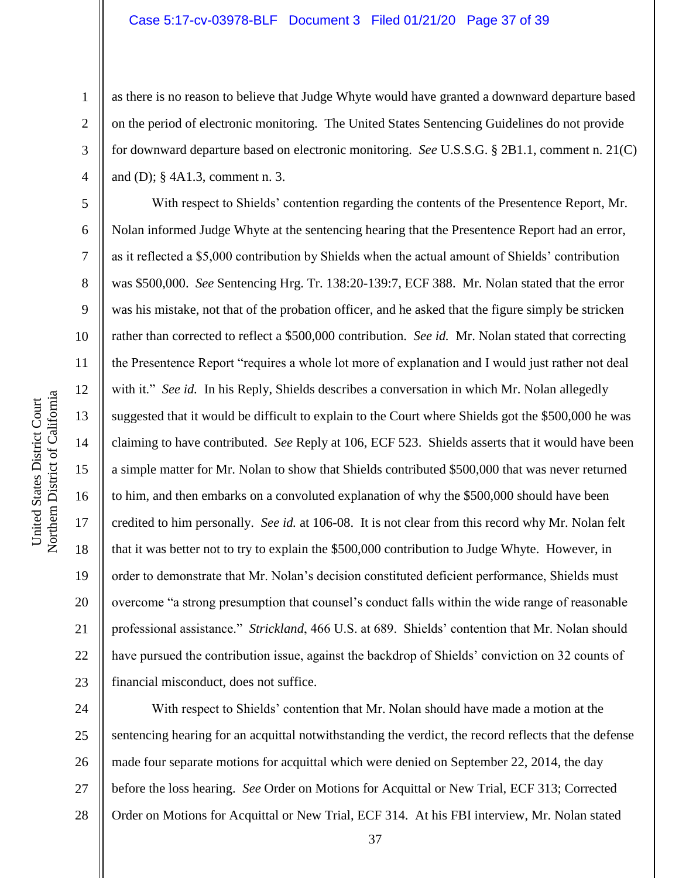# Case 5:17-cv-03978-BLF Document 3 Filed 01/21/20 Page 37 of 39

as there is no reason to believe that Judge Whyte would have granted a downward departure based on the period of electronic monitoring. The United States Sentencing Guidelines do not provide for downward departure based on electronic monitoring. *See* U.S.S.G. § 2B1.1, comment n. 21(C) and (D); § 4A1.3, comment n. 3.

6 7 10 16 20 With respect to Shields' contention regarding the contents of the Presentence Report, Mr. Nolan informed Judge Whyte at the sentencing hearing that the Presentence Report had an error, as it reflected a \$5,000 contribution by Shields when the actual amount of Shields' contribution was \$500,000. *See* Sentencing Hrg. Tr. 138:20-139:7, ECF 388. Mr. Nolan stated that the error was his mistake, not that of the probation officer, and he asked that the figure simply be stricken rather than corrected to reflect a \$500,000 contribution. *See id.* Mr. Nolan stated that correcting the Presentence Report "requires a whole lot more of explanation and I would just rather not deal with it." *See id.* In his Reply, Shields describes a conversation in which Mr. Nolan allegedly suggested that it would be difficult to explain to the Court where Shields got the \$500,000 he was claiming to have contributed. *See* Reply at 106, ECF 523. Shields asserts that it would have been a simple matter for Mr. Nolan to show that Shields contributed \$500,000 that was never returned to him, and then embarks on a convoluted explanation of why the \$500,000 should have been credited to him personally. *See id.* at 106-08. It is not clear from this record why Mr. Nolan felt that it was better not to try to explain the \$500,000 contribution to Judge Whyte. However, in order to demonstrate that Mr. Nolan's decision constituted deficient performance, Shields must overcome "a strong presumption that counsel's conduct falls within the wide range of reasonable professional assistance." *Strickland*, 466 U.S. at 689. Shields' contention that Mr. Nolan should have pursued the contribution issue, against the backdrop of Shields' conviction on 32 counts of financial misconduct, does not suffice.

24 25 26 27 28 With respect to Shields' contention that Mr. Nolan should have made a motion at the sentencing hearing for an acquittal notwithstanding the verdict, the record reflects that the defense made four separate motions for acquittal which were denied on September 22, 2014, the day before the loss hearing. *See* Order on Motions for Acquittal or New Trial, ECF 313; Corrected Order on Motions for Acquittal or New Trial, ECF 314. At his FBI interview, Mr. Nolan stated

1

2

3

4

5

8

9

11

12

13

14

15

17

18

19

21

22

23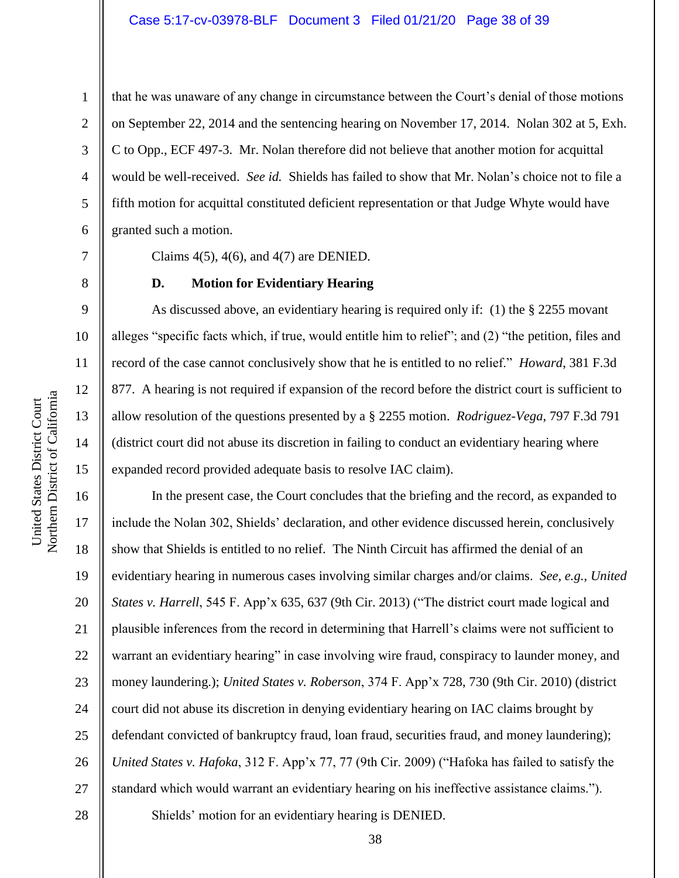1

2

3

4

5

6

7

8

15

United States District Court Northern District of California

Northern District of California United States District Court

that he was unaware of any change in circumstance between the Court's denial of those motions on September 22, 2014 and the sentencing hearing on November 17, 2014. Nolan 302 at 5, Exh. C to Opp., ECF 497-3. Mr. Nolan therefore did not believe that another motion for acquittal would be well-received. *See id.* Shields has failed to show that Mr. Nolan's choice not to file a fifth motion for acquittal constituted deficient representation or that Judge Whyte would have granted such a motion.

Claims 4(5), 4(6), and 4(7) are DENIED.

# **D. Motion for Evidentiary Hearing**

As discussed above, an evidentiary hearing is required only if: (1) the § 2255 movant alleges "specific facts which, if true, would entitle him to relief"; and (2) "the petition, files and record of the case cannot conclusively show that he is entitled to no relief." *Howard*, 381 F.3d 877. A hearing is not required if expansion of the record before the district court is sufficient to allow resolution of the questions presented by a § 2255 motion. *Rodriguez-Vega*, 797 F.3d 791 (district court did not abuse its discretion in failing to conduct an evidentiary hearing where expanded record provided adequate basis to resolve IAC claim).

16 17 18 19 20 21 22 23 24 25 26 27 In the present case, the Court concludes that the briefing and the record, as expanded to include the Nolan 302, Shields' declaration, and other evidence discussed herein, conclusively show that Shields is entitled to no relief. The Ninth Circuit has affirmed the denial of an evidentiary hearing in numerous cases involving similar charges and/or claims. *See, e.g., United States v. Harrell*, 545 F. App'x 635, 637 (9th Cir. 2013) ("The district court made logical and plausible inferences from the record in determining that Harrell's claims were not sufficient to warrant an evidentiary hearing" in case involving wire fraud, conspiracy to launder money, and money laundering.); *United States v. Roberson*, 374 F. App'x 728, 730 (9th Cir. 2010) (district court did not abuse its discretion in denying evidentiary hearing on IAC claims brought by defendant convicted of bankruptcy fraud, loan fraud, securities fraud, and money laundering); *United States v. Hafoka*, 312 F. App'x 77, 77 (9th Cir. 2009) ("Hafoka has failed to satisfy the standard which would warrant an evidentiary hearing on his ineffective assistance claims."). Shields' motion for an evidentiary hearing is DENIED.